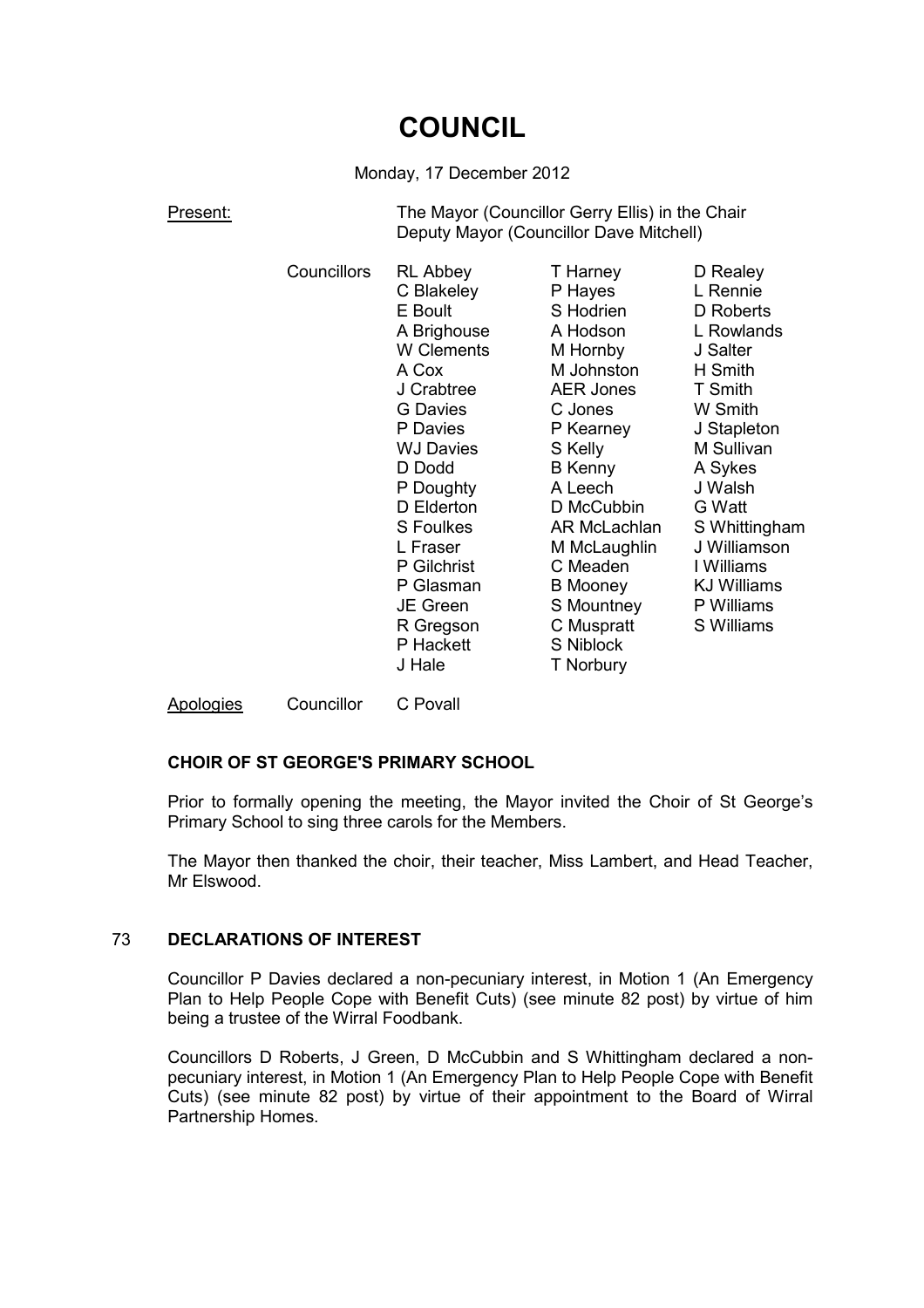# **COUNCIL**

#### Monday, 17 December 2012

Present: The Mayor (Councillor Gerry Ellis) in the Chair Deputy Mayor (Councillor Dave Mitchell)

| P Hayes<br>S Hodrien<br>A Hodson<br>M Hornby<br>M Johnston<br><b>AER Jones</b><br>C Jones<br>P Kearney | D Realey<br>L Rennie<br>D Roberts<br>L Rowlands<br>J Salter<br>H Smith<br>T Smith<br>W Smith<br>J Stapleton<br>M Sullivan |
|--------------------------------------------------------------------------------------------------------|---------------------------------------------------------------------------------------------------------------------------|
|                                                                                                        | T Harney                                                                                                                  |

Apologies Councillor C Povall

## **CHOIR OF ST GEORGE'S PRIMARY SCHOOL**

Prior to formally opening the meeting, the Mayor invited the Choir of St George's Primary School to sing three carols for the Members.

The Mayor then thanked the choir, their teacher, Miss Lambert, and Head Teacher, Mr Elswood.

#### 73 **DECLARATIONS OF INTEREST**

Councillor P Davies declared a non-pecuniary interest, in Motion 1 (An Emergency Plan to Help People Cope with Benefit Cuts) (see minute 82 post) by virtue of him being a trustee of the Wirral Foodbank.

Councillors D Roberts, J Green, D McCubbin and S Whittingham declared a nonpecuniary interest, in Motion 1 (An Emergency Plan to Help People Cope with Benefit Cuts) (see minute 82 post) by virtue of their appointment to the Board of Wirral Partnership Homes.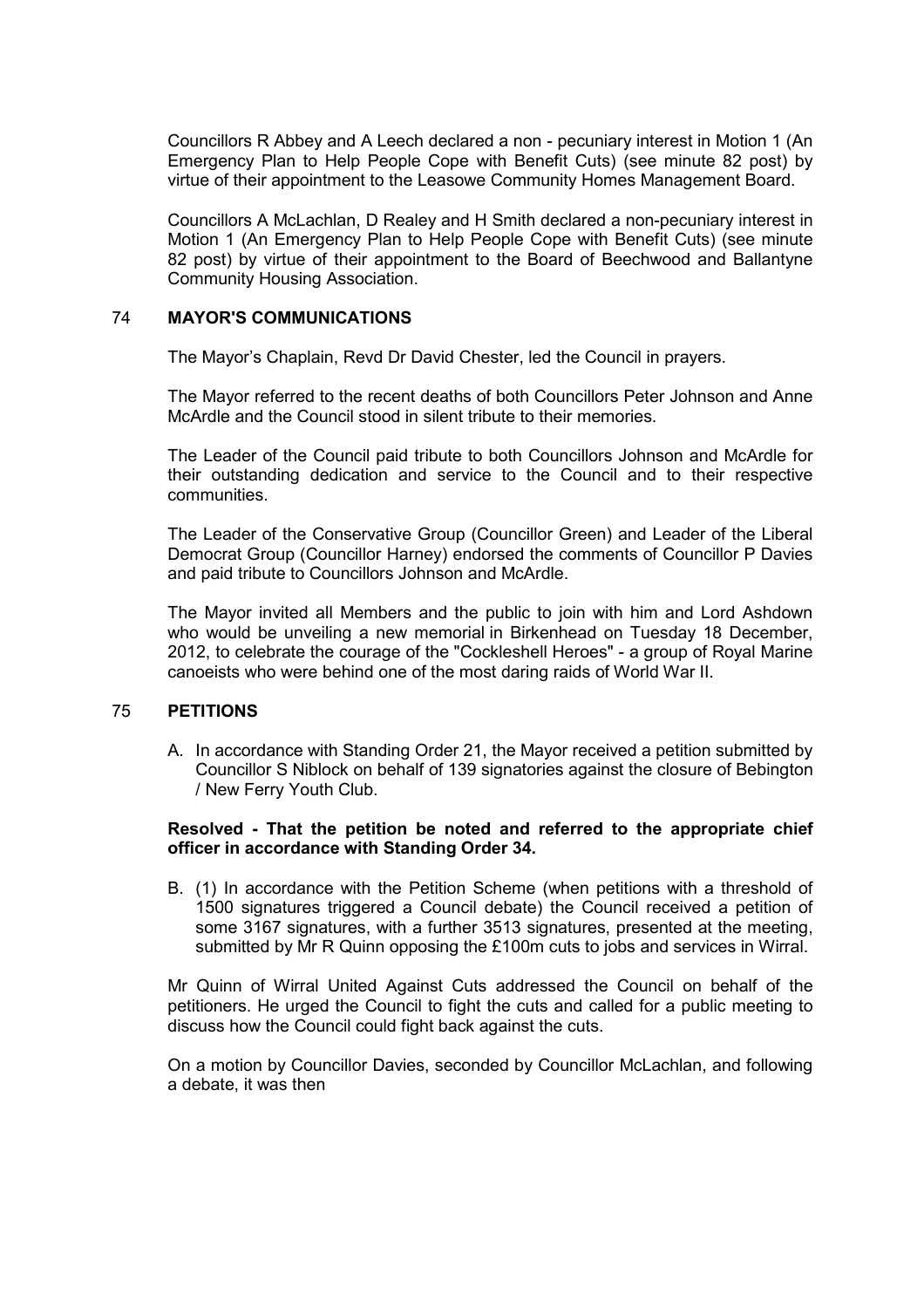Councillors R Abbey and A Leech declared a non - pecuniary interest in Motion 1 (An Emergency Plan to Help People Cope with Benefit Cuts) (see minute 82 post) by virtue of their appointment to the Leasowe Community Homes Management Board.

Councillors A McLachlan, D Realey and H Smith declared a non-pecuniary interest in Motion 1 (An Emergency Plan to Help People Cope with Benefit Cuts) (see minute 82 post) by virtue of their appointment to the Board of Beechwood and Ballantyne Community Housing Association.

#### 74 **MAYOR'S COMMUNICATIONS**

The Mayor's Chaplain, Revd Dr David Chester, led the Council in prayers.

The Mayor referred to the recent deaths of both Councillors Peter Johnson and Anne McArdle and the Council stood in silent tribute to their memories.

The Leader of the Council paid tribute to both Councillors Johnson and McArdle for their outstanding dedication and service to the Council and to their respective communities.

The Leader of the Conservative Group (Councillor Green) and Leader of the Liberal Democrat Group (Councillor Harney) endorsed the comments of Councillor P Davies and paid tribute to Councillors Johnson and McArdle.

The Mayor invited all Members and the public to join with him and Lord Ashdown who would be unveiling a new memorial in Birkenhead on Tuesday 18 December, 2012, to celebrate the courage of the "Cockleshell Heroes" - a group of Royal Marine canoeists who were behind one of the most daring raids of World War II.

#### 75 **PETITIONS**

A. In accordance with Standing Order 21, the Mayor received a petition submitted by Councillor S Niblock on behalf of 139 signatories against the closure of Bebington / New Ferry Youth Club.

#### **Resolved - That the petition be noted and referred to the appropriate chief officer in accordance with Standing Order 34.**

B. (1) In accordance with the Petition Scheme (when petitions with a threshold of 1500 signatures triggered a Council debate) the Council received a petition of some 3167 signatures, with a further 3513 signatures, presented at the meeting. submitted by Mr R Quinn opposing the £100m cuts to jobs and services in Wirral.

Mr Quinn of Wirral United Against Cuts addressed the Council on behalf of the petitioners. He urged the Council to fight the cuts and called for a public meeting to discuss how the Council could fight back against the cuts.

On a motion by Councillor Davies, seconded by Councillor McLachlan, and following a debate, it was then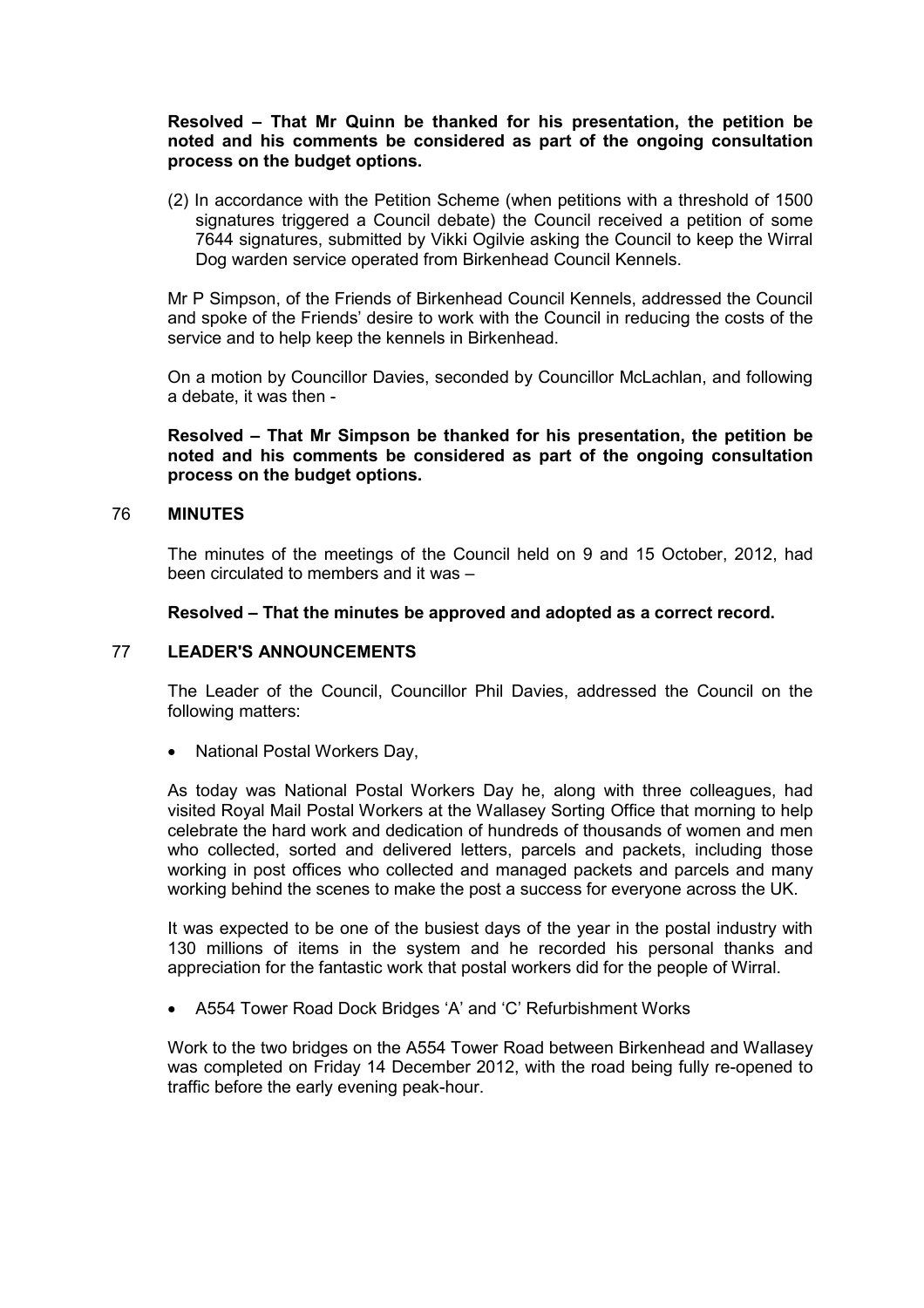#### **Resolved – That Mr Quinn be thanked for his presentation, the petition be noted and his comments be considered as part of the ongoing consultation process on the budget options.**

(2) In accordance with the Petition Scheme (when petitions with a threshold of 1500 signatures triggered a Council debate) the Council received a petition of some 7644 signatures, submitted by Vikki Ogilvie asking the Council to keep the Wirral Dog warden service operated from Birkenhead Council Kennels.

Mr P Simpson, of the Friends of Birkenhead Council Kennels, addressed the Council and spoke of the Friends' desire to work with the Council in reducing the costs of the service and to help keep the kennels in Birkenhead.

On a motion by Councillor Davies, seconded by Councillor McLachlan, and following a debate, it was then -

**Resolved – That Mr Simpson be thanked for his presentation, the petition be noted and his comments be considered as part of the ongoing consultation process on the budget options.**

#### 76 **MINUTES**

The minutes of the meetings of the Council held on 9 and 15 October, 2012, had been circulated to members and it was –

#### **Resolved – That the minutes be approved and adopted as a correct record.**

#### 77 **LEADER'S ANNOUNCEMENTS**

The Leader of the Council, Councillor Phil Davies, addressed the Council on the following matters:

• National Postal Workers Day,

As today was National Postal Workers Day he, along with three colleagues, had visited Royal Mail Postal Workers at the Wallasey Sorting Office that morning to help celebrate the hard work and dedication of hundreds of thousands of women and men who collected, sorted and delivered letters, parcels and packets, including those working in post offices who collected and managed packets and parcels and many working behind the scenes to make the post a success for everyone across the UK.

It was expected to be one of the busiest days of the year in the postal industry with 130 millions of items in the system and he recorded his personal thanks and appreciation for the fantastic work that postal workers did for the people of Wirral.

• A554 Tower Road Dock Bridges 'A' and 'C' Refurbishment Works

Work to the two bridges on the A554 Tower Road between Birkenhead and Wallasey was completed on Friday 14 December 2012, with the road being fully re-opened to traffic before the early evening peak-hour.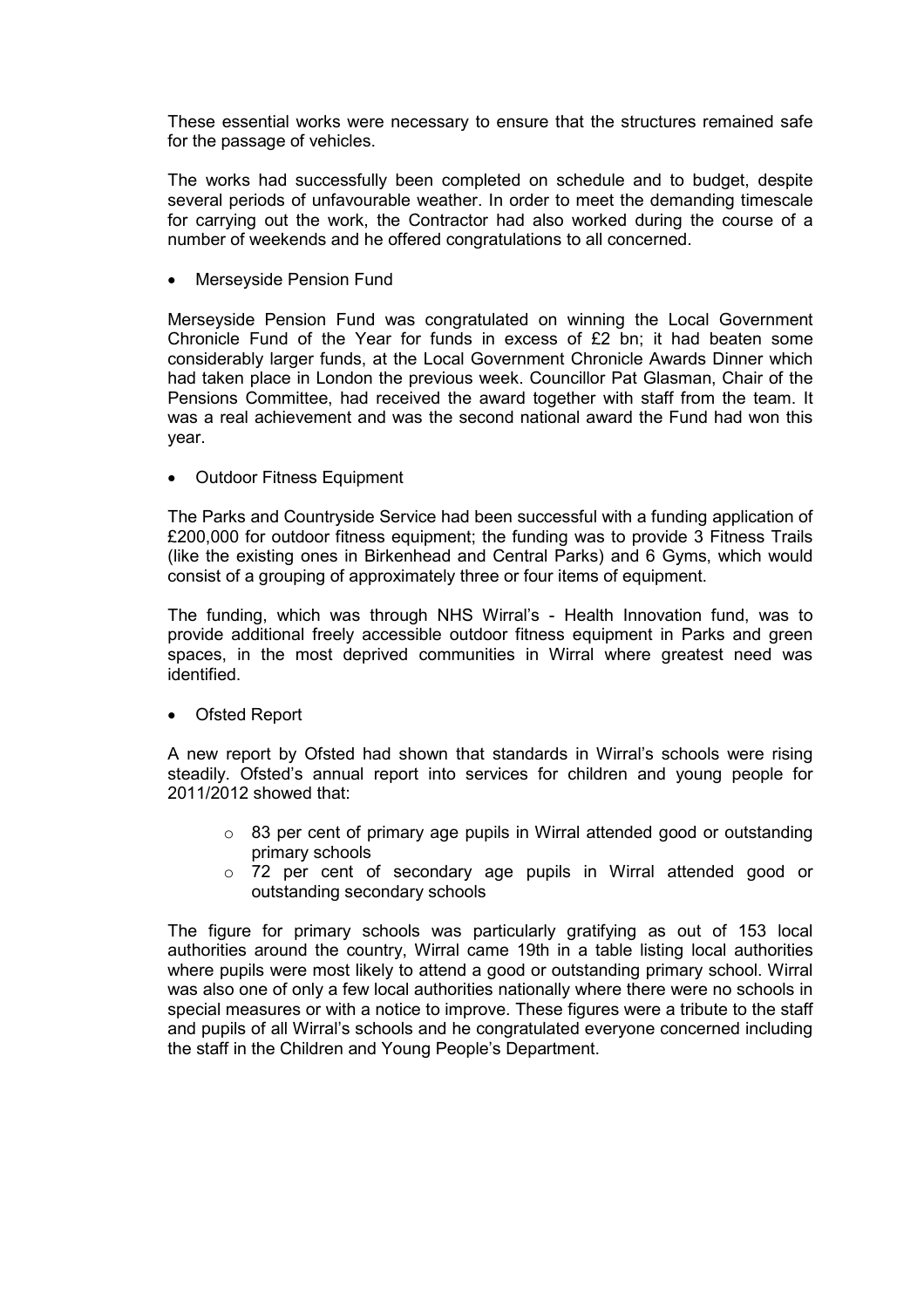These essential works were necessary to ensure that the structures remained safe for the passage of vehicles.

The works had successfully been completed on schedule and to budget, despite several periods of unfavourable weather. In order to meet the demanding timescale for carrying out the work, the Contractor had also worked during the course of a number of weekends and he offered congratulations to all concerned.

• Merseyside Pension Fund

Merseyside Pension Fund was congratulated on winning the Local Government Chronicle Fund of the Year for funds in excess of £2 bn; it had beaten some considerably larger funds, at the Local Government Chronicle Awards Dinner which had taken place in London the previous week. Councillor Pat Glasman, Chair of the Pensions Committee, had received the award together with staff from the team. It was a real achievement and was the second national award the Fund had won this year.

• Outdoor Fitness Equipment

The Parks and Countryside Service had been successful with a funding application of £200,000 for outdoor fitness equipment; the funding was to provide 3 Fitness Trails (like the existing ones in Birkenhead and Central Parks) and 6 Gyms, which would consist of a grouping of approximately three or four items of equipment.

The funding, which was through NHS Wirral's - Health Innovation fund, was to provide additional freely accessible outdoor fitness equipment in Parks and green spaces, in the most deprived communities in Wirral where greatest need was identified.

• Ofsted Report

A new report by Ofsted had shown that standards in Wirral's schools were rising steadily. Ofsted's annual report into services for children and young people for 2011/2012 showed that:

- $\circ$  83 per cent of primary age pupils in Wirral attended good or outstanding primary schools
- o 72 per cent of secondary age pupils in Wirral attended good or outstanding secondary schools

The figure for primary schools was particularly gratifying as out of 153 local authorities around the country, Wirral came 19th in a table listing local authorities where pupils were most likely to attend a good or outstanding primary school. Wirral was also one of only a few local authorities nationally where there were no schools in special measures or with a notice to improve. These figures were a tribute to the staff and pupils of all Wirral's schools and he congratulated everyone concerned including the staff in the Children and Young People's Department.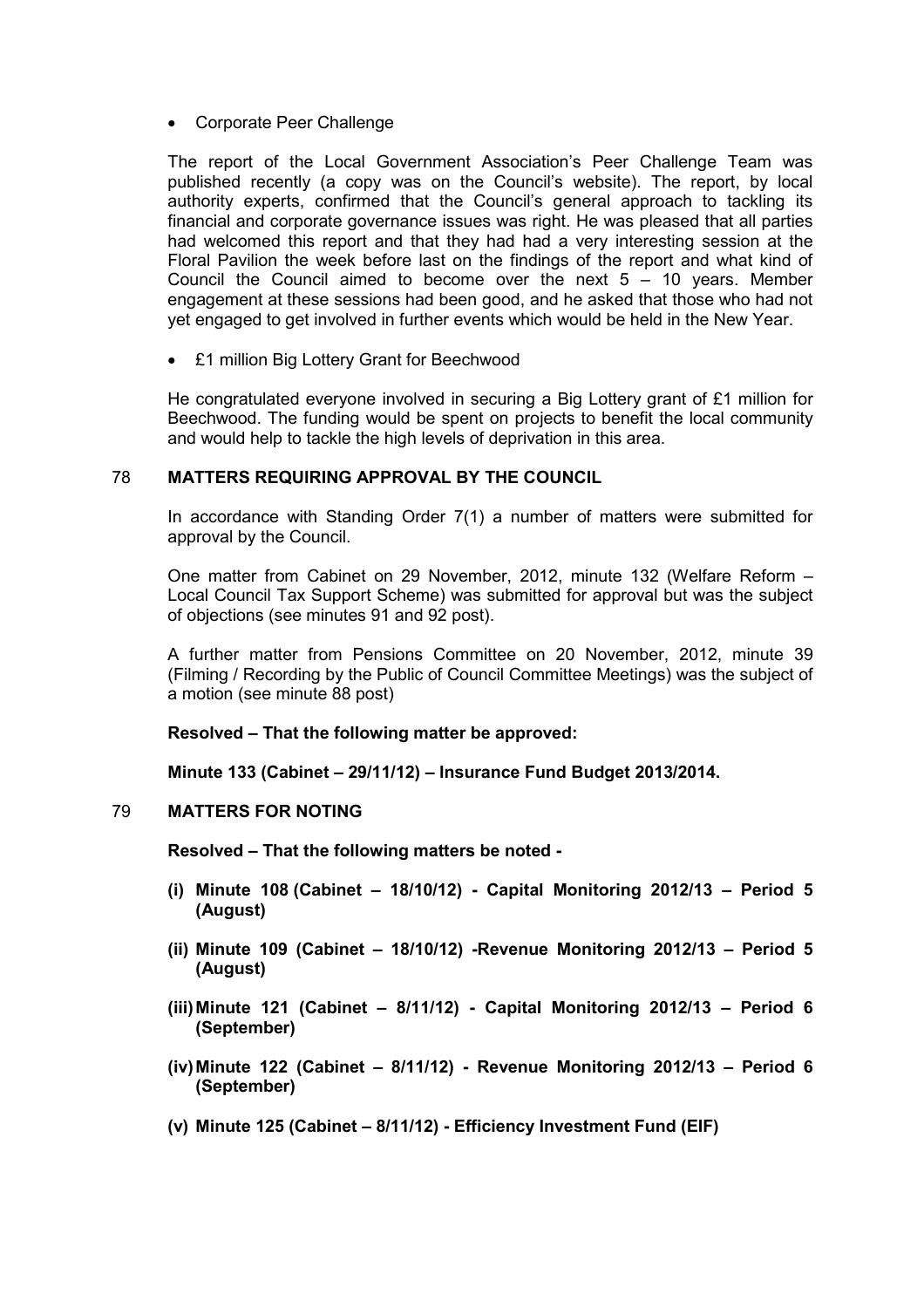• Corporate Peer Challenge

The report of the Local Government Association's Peer Challenge Team was published recently (a copy was on the Council's website). The report, by local authority experts, confirmed that the Council's general approach to tackling its financial and corporate governance issues was right. He was pleased that all parties had welcomed this report and that they had had a very interesting session at the Floral Pavilion the week before last on the findings of the report and what kind of Council the Council aimed to become over the next  $5 - 10$  years. Member engagement at these sessions had been good, and he asked that those who had not yet engaged to get involved in further events which would be held in the New Year.

• £1 million Big Lottery Grant for Beechwood

He congratulated everyone involved in securing a Big Lottery grant of £1 million for Beechwood. The funding would be spent on projects to benefit the local community and would help to tackle the high levels of deprivation in this area.

#### 78 **MATTERS REQUIRING APPROVAL BY THE COUNCIL**

In accordance with Standing Order 7(1) a number of matters were submitted for approval by the Council.

One matter from Cabinet on 29 November, 2012, minute 132 (Welfare Reform – Local Council Tax Support Scheme) was submitted for approval but was the subject of objections (see minutes 91 and 92 post).

A further matter from Pensions Committee on 20 November, 2012, minute 39 (Filming / Recording by the Public of Council Committee Meetings) was the subject of a motion (see minute 88 post)

**Resolved – That the following matter be approved:** 

**Minute 133 (Cabinet – 29/11/12) – Insurance Fund Budget 2013/2014.**

#### 79 **MATTERS FOR NOTING**

**Resolved – That the following matters be noted -** 

- **(i) Minute 108 (Cabinet 18/10/12) Capital Monitoring 2012/13 Period 5 (August)**
- **(ii) Minute 109 (Cabinet 18/10/12) -Revenue Monitoring 2012/13 Period 5 (August)**
- **(iii) Minute 121 (Cabinet 8/11/12) Capital Monitoring 2012/13 Period 6 (September)**
- **(iv) Minute 122 (Cabinet 8/11/12) Revenue Monitoring 2012/13 Period 6 (September)**
- **(v) Minute 125 (Cabinet 8/11/12) Efficiency Investment Fund (EIF)**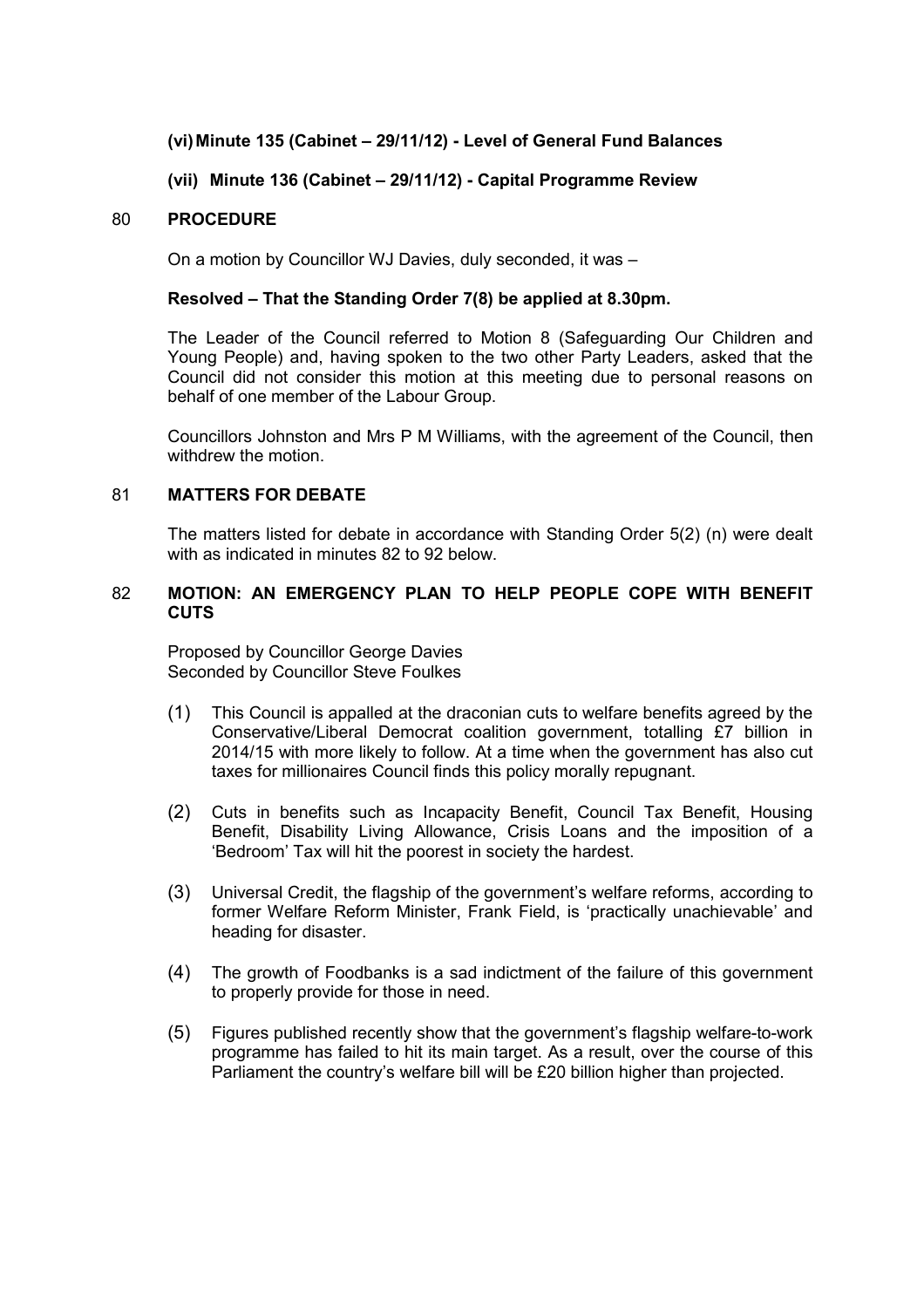## **(vi) Minute 135 (Cabinet – 29/11/12) - Level of General Fund Balances**

## **(vii) Minute 136 (Cabinet – 29/11/12) - Capital Programme Review**

#### 80 **PROCEDURE**

On a motion by Councillor WJ Davies, duly seconded, it was –

## **Resolved – That the Standing Order 7(8) be applied at 8.30pm.**

The Leader of the Council referred to Motion 8 (Safeguarding Our Children and Young People) and, having spoken to the two other Party Leaders, asked that the Council did not consider this motion at this meeting due to personal reasons on behalf of one member of the Labour Group.

Councillors Johnston and Mrs P M Williams, with the agreement of the Council, then withdrew the motion.

#### 81 **MATTERS FOR DEBATE**

The matters listed for debate in accordance with Standing Order 5(2) (n) were dealt with as indicated in minutes 82 to 92 below.

#### 82 **MOTION: AN EMERGENCY PLAN TO HELP PEOPLE COPE WITH BENEFIT CUTS**

Proposed by Councillor George Davies Seconded by Councillor Steve Foulkes

- (1) This Council is appalled at the draconian cuts to welfare benefits agreed by the Conservative/Liberal Democrat coalition government, totalling £7 billion in 2014/15 with more likely to follow. At a time when the government has also cut taxes for millionaires Council finds this policy morally repugnant.
- (2) Cuts in benefits such as Incapacity Benefit, Council Tax Benefit, Housing Benefit, Disability Living Allowance, Crisis Loans and the imposition of a 'Bedroom' Tax will hit the poorest in society the hardest.
- (3) Universal Credit, the flagship of the government's welfare reforms, according to former Welfare Reform Minister, Frank Field, is 'practically unachievable' and heading for disaster.
- (4) The growth of Foodbanks is a sad indictment of the failure of this government to properly provide for those in need.
- (5) Figures published recently show that the government's flagship welfare-to-work programme has failed to hit its main target. As a result, over the course of this Parliament the country's welfare bill will be £20 billion higher than projected.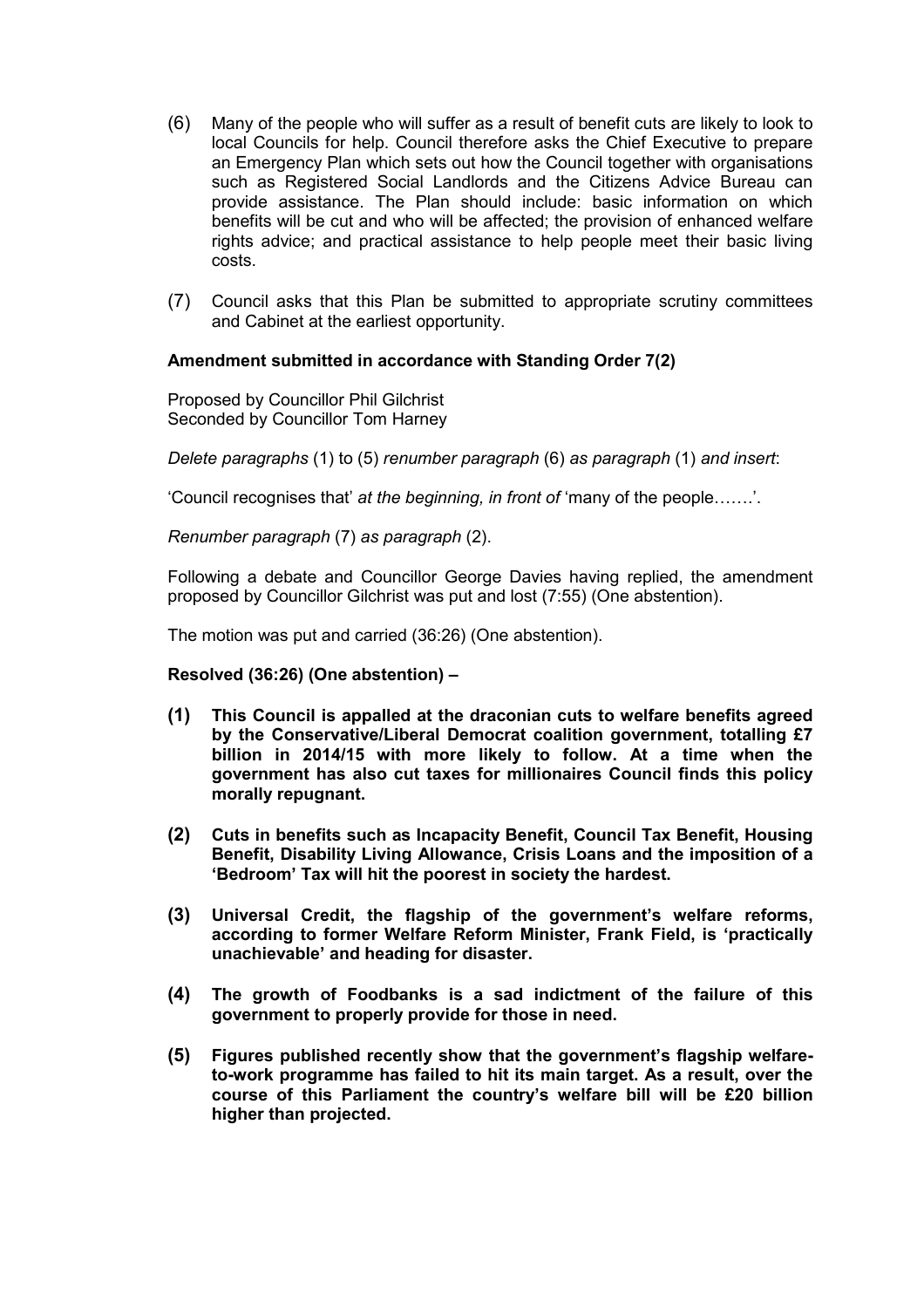- (6) Many of the people who will suffer as a result of benefit cuts are likely to look to local Councils for help. Council therefore asks the Chief Executive to prepare an Emergency Plan which sets out how the Council together with organisations such as Registered Social Landlords and the Citizens Advice Bureau can provide assistance. The Plan should include: basic information on which benefits will be cut and who will be affected; the provision of enhanced welfare rights advice; and practical assistance to help people meet their basic living costs.
- (7) Council asks that this Plan be submitted to appropriate scrutiny committees and Cabinet at the earliest opportunity.

## **Amendment submitted in accordance with Standing Order 7(2)**

Proposed by Councillor Phil Gilchrist Seconded by Councillor Tom Harney

*Delete paragraphs* (1) to (5) *renumber paragraph* (6) *as paragraph* (1) *and insert*:

'Council recognises that' *at the beginning, in front of* 'many of the people…….'.

*Renumber paragraph* (7) *as paragraph* (2).

Following a debate and Councillor George Davies having replied, the amendment proposed by Councillor Gilchrist was put and lost (7:55) (One abstention).

The motion was put and carried (36:26) (One abstention).

**Resolved (36:26) (One abstention) –** 

- **(1) This Council is appalled at the draconian cuts to welfare benefits agreed by the Conservative/Liberal Democrat coalition government, totalling £7 billion in 2014/15 with more likely to follow. At a time when the government has also cut taxes for millionaires Council finds this policy morally repugnant.**
- **(2) Cuts in benefits such as Incapacity Benefit, Council Tax Benefit, Housing Benefit, Disability Living Allowance, Crisis Loans and the imposition of a 'Bedroom' Tax will hit the poorest in society the hardest.**
- **(3) Universal Credit, the flagship of the government's welfare reforms, according to former Welfare Reform Minister, Frank Field, is 'practically unachievable' and heading for disaster.**
- **(4) The growth of Foodbanks is a sad indictment of the failure of this government to properly provide for those in need.**
- **(5) Figures published recently show that the government's flagship welfareto-work programme has failed to hit its main target. As a result, over the course of this Parliament the country's welfare bill will be £20 billion higher than projected.**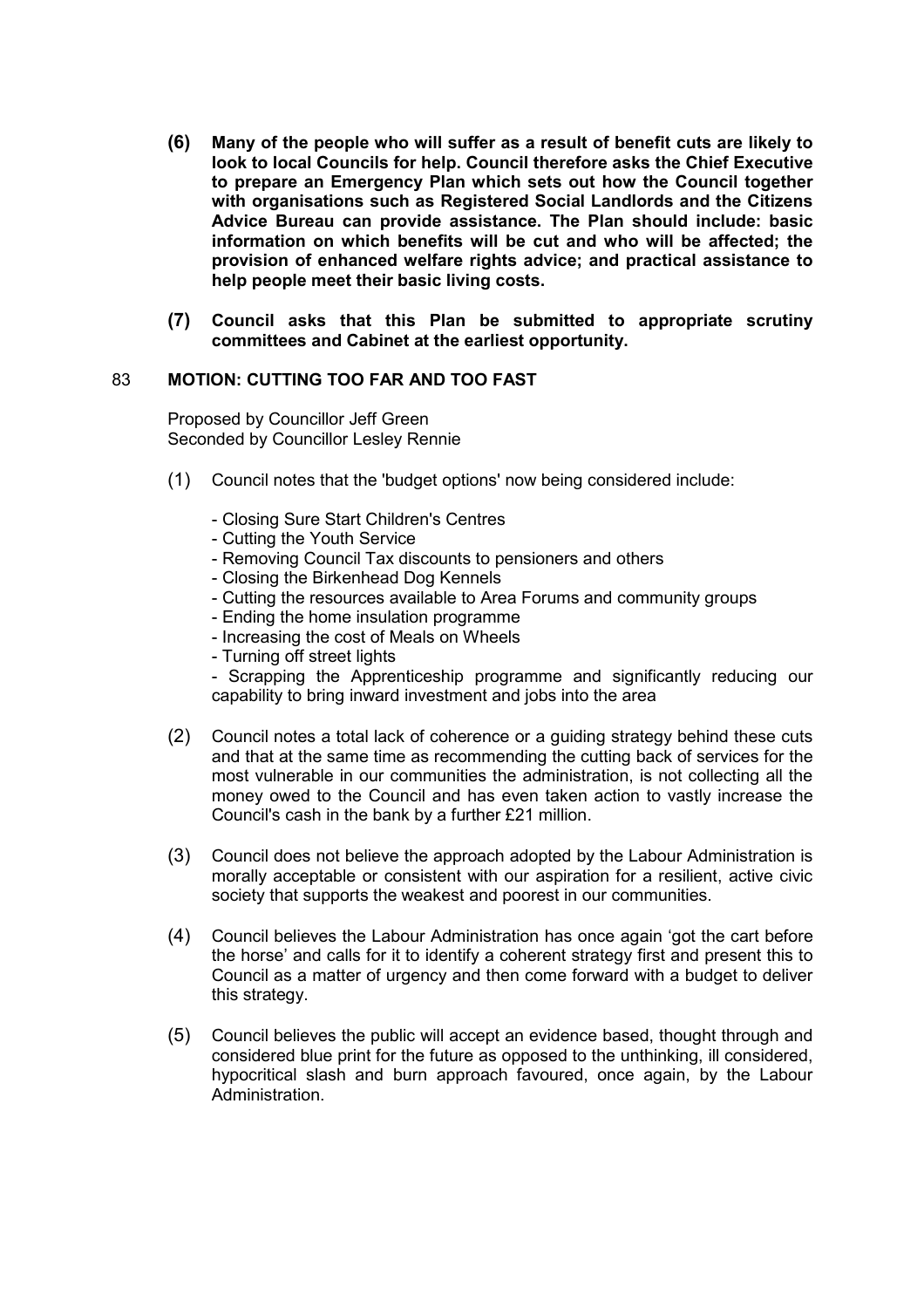- **(6) Many of the people who will suffer as a result of benefit cuts are likely to look to local Councils for help. Council therefore asks the Chief Executive to prepare an Emergency Plan which sets out how the Council together with organisations such as Registered Social Landlords and the Citizens Advice Bureau can provide assistance. The Plan should include: basic information on which benefits will be cut and who will be affected; the provision of enhanced welfare rights advice; and practical assistance to help people meet their basic living costs.**
- **(7) Council asks that this Plan be submitted to appropriate scrutiny committees and Cabinet at the earliest opportunity.**

#### 83 **MOTION: CUTTING TOO FAR AND TOO FAST**

Proposed by Councillor Jeff Green Seconded by Councillor Lesley Rennie

- (1) Council notes that the 'budget options' now being considered include:
	- Closing Sure Start Children's Centres
	- Cutting the Youth Service
	- Removing Council Tax discounts to pensioners and others
	- Closing the Birkenhead Dog Kennels
	- Cutting the resources available to Area Forums and community groups
	- Ending the home insulation programme
	- Increasing the cost of Meals on Wheels
	- Turning off street lights

- Scrapping the Apprenticeship programme and significantly reducing our capability to bring inward investment and jobs into the area

- (2) Council notes a total lack of coherence or a guiding strategy behind these cuts and that at the same time as recommending the cutting back of services for the most vulnerable in our communities the administration, is not collecting all the money owed to the Council and has even taken action to vastly increase the Council's cash in the bank by a further £21 million.
- (3) Council does not believe the approach adopted by the Labour Administration is morally acceptable or consistent with our aspiration for a resilient, active civic society that supports the weakest and poorest in our communities.
- (4) Council believes the Labour Administration has once again 'got the cart before the horse' and calls for it to identify a coherent strategy first and present this to Council as a matter of urgency and then come forward with a budget to deliver this strategy.
- (5) Council believes the public will accept an evidence based, thought through and considered blue print for the future as opposed to the unthinking, ill considered, hypocritical slash and burn approach favoured, once again, by the Labour Administration.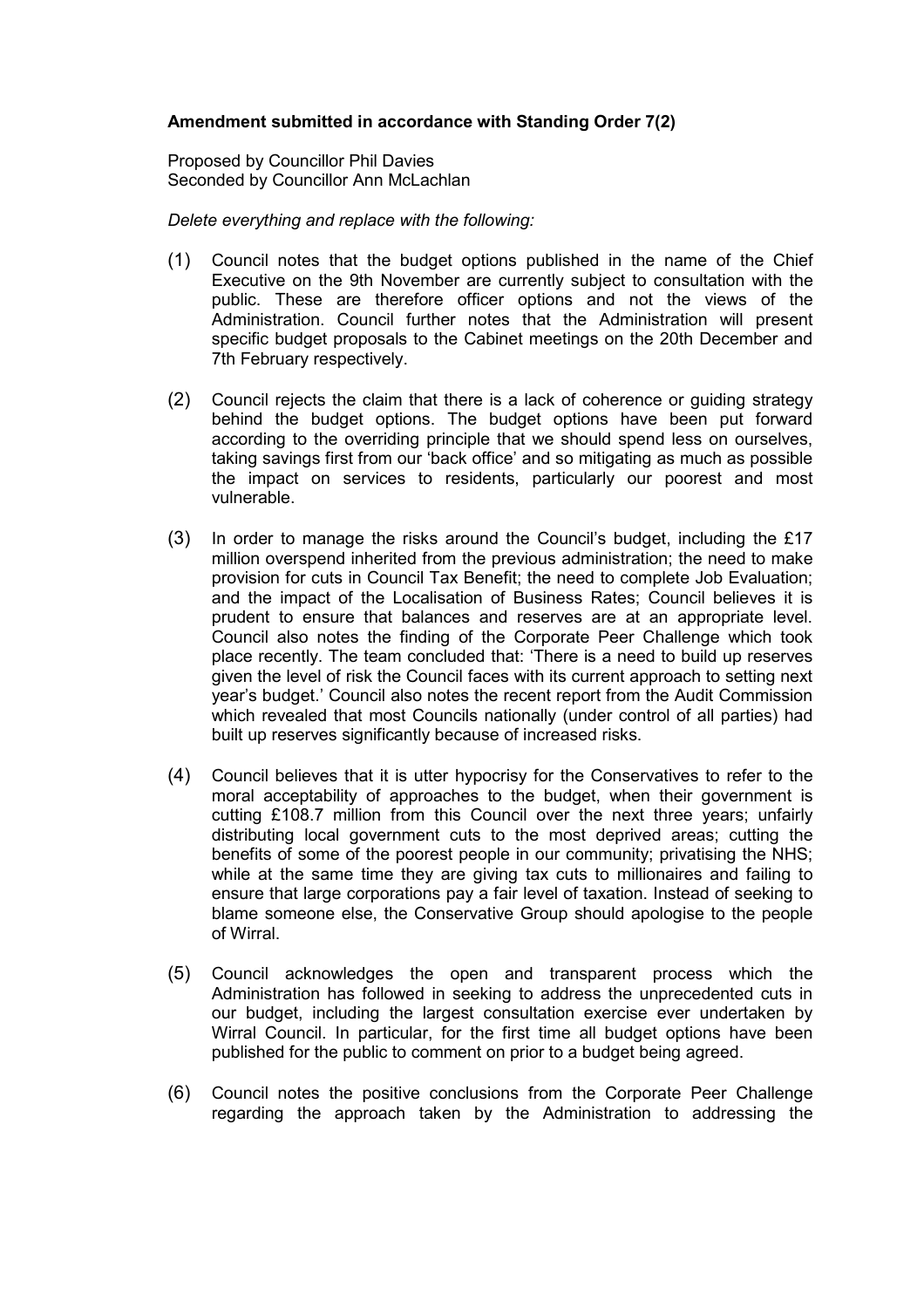## **Amendment submitted in accordance with Standing Order 7(2)**

Proposed by Councillor Phil Davies Seconded by Councillor Ann McLachlan

#### *Delete everything and replace with the following:*

- (1) Council notes that the budget options published in the name of the Chief Executive on the 9th November are currently subject to consultation with the public. These are therefore officer options and not the views of the Administration. Council further notes that the Administration will present specific budget proposals to the Cabinet meetings on the 20th December and 7th February respectively.
- (2) Council rejects the claim that there is a lack of coherence or guiding strategy behind the budget options. The budget options have been put forward according to the overriding principle that we should spend less on ourselves, taking savings first from our 'back office' and so mitigating as much as possible the impact on services to residents, particularly our poorest and most vulnerable.
- (3) In order to manage the risks around the Council's budget, including the £17 million overspend inherited from the previous administration; the need to make provision for cuts in Council Tax Benefit; the need to complete Job Evaluation; and the impact of the Localisation of Business Rates; Council believes it is prudent to ensure that balances and reserves are at an appropriate level. Council also notes the finding of the Corporate Peer Challenge which took place recently. The team concluded that: 'There is a need to build up reserves given the level of risk the Council faces with its current approach to setting next year's budget.' Council also notes the recent report from the Audit Commission which revealed that most Councils nationally (under control of all parties) had built up reserves significantly because of increased risks.
- (4) Council believes that it is utter hypocrisy for the Conservatives to refer to the moral acceptability of approaches to the budget, when their government is cutting £108.7 million from this Council over the next three years; unfairly distributing local government cuts to the most deprived areas; cutting the benefits of some of the poorest people in our community; privatising the NHS; while at the same time they are giving tax cuts to millionaires and failing to ensure that large corporations pay a fair level of taxation. Instead of seeking to blame someone else, the Conservative Group should apologise to the people of Wirral.
- (5) Council acknowledges the open and transparent process which the Administration has followed in seeking to address the unprecedented cuts in our budget, including the largest consultation exercise ever undertaken by Wirral Council. In particular, for the first time all budget options have been published for the public to comment on prior to a budget being agreed.
- (6) Council notes the positive conclusions from the Corporate Peer Challenge regarding the approach taken by the Administration to addressing the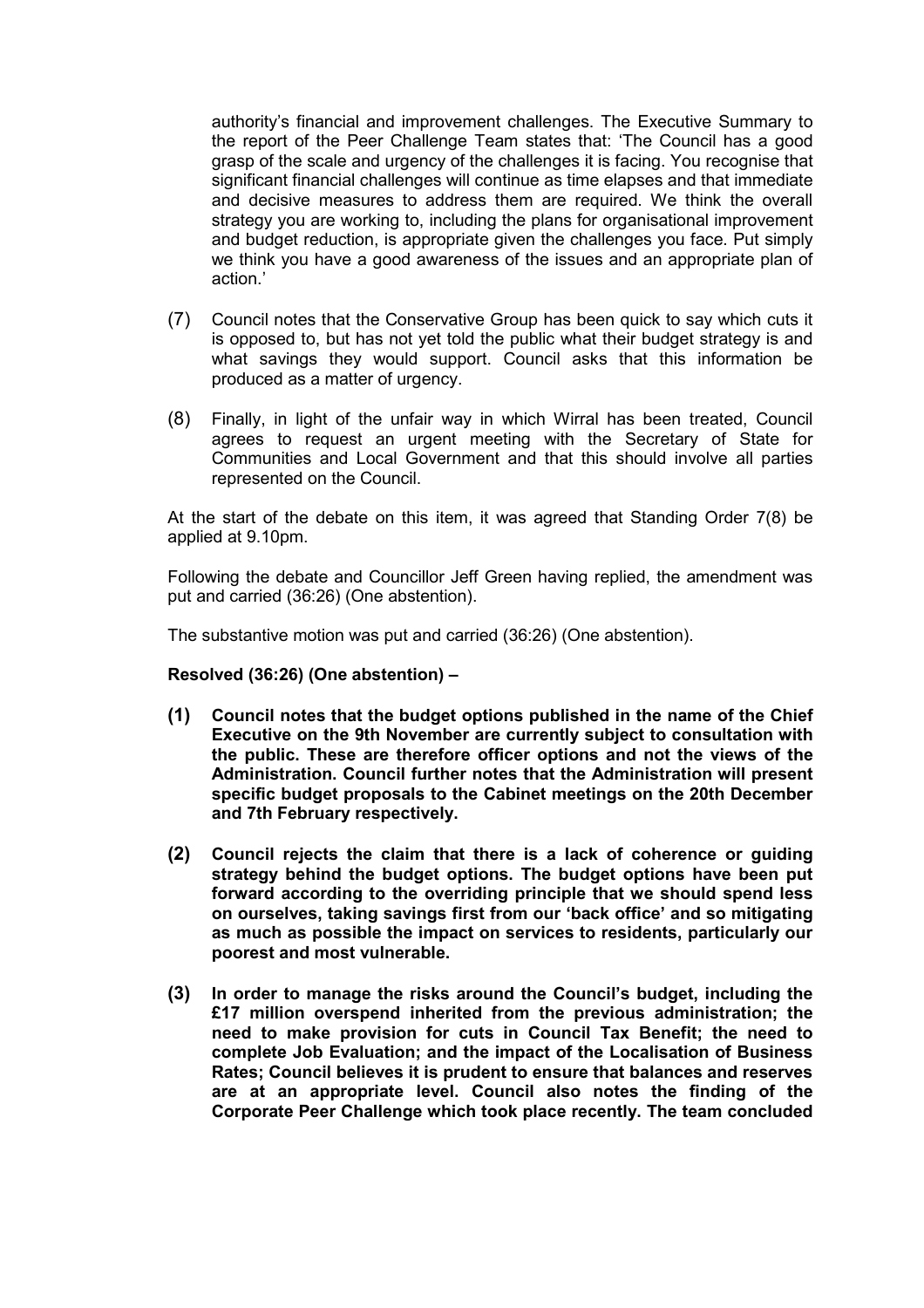authority's financial and improvement challenges. The Executive Summary to the report of the Peer Challenge Team states that: 'The Council has a good grasp of the scale and urgency of the challenges it is facing. You recognise that significant financial challenges will continue as time elapses and that immediate and decisive measures to address them are required. We think the overall strategy you are working to, including the plans for organisational improvement and budget reduction, is appropriate given the challenges you face. Put simply we think you have a good awareness of the issues and an appropriate plan of action.'

- (7) Council notes that the Conservative Group has been quick to say which cuts it is opposed to, but has not yet told the public what their budget strategy is and what savings they would support. Council asks that this information be produced as a matter of urgency.
- (8) Finally, in light of the unfair way in which Wirral has been treated, Council agrees to request an urgent meeting with the Secretary of State for Communities and Local Government and that this should involve all parties represented on the Council.

At the start of the debate on this item, it was agreed that Standing Order 7(8) be applied at 9.10pm.

Following the debate and Councillor Jeff Green having replied, the amendment was put and carried (36:26) (One abstention).

The substantive motion was put and carried (36:26) (One abstention).

**Resolved (36:26) (One abstention) –** 

- **(1) Council notes that the budget options published in the name of the Chief Executive on the 9th November are currently subject to consultation with the public. These are therefore officer options and not the views of the Administration. Council further notes that the Administration will present specific budget proposals to the Cabinet meetings on the 20th December and 7th February respectively.**
- **(2) Council rejects the claim that there is a lack of coherence or guiding strategy behind the budget options. The budget options have been put forward according to the overriding principle that we should spend less on ourselves, taking savings first from our 'back office' and so mitigating as much as possible the impact on services to residents, particularly our poorest and most vulnerable.**
- **(3) In order to manage the risks around the Council's budget, including the £17 million overspend inherited from the previous administration; the need to make provision for cuts in Council Tax Benefit; the need to complete Job Evaluation; and the impact of the Localisation of Business Rates; Council believes it is prudent to ensure that balances and reserves are at an appropriate level. Council also notes the finding of the Corporate Peer Challenge which took place recently. The team concluded**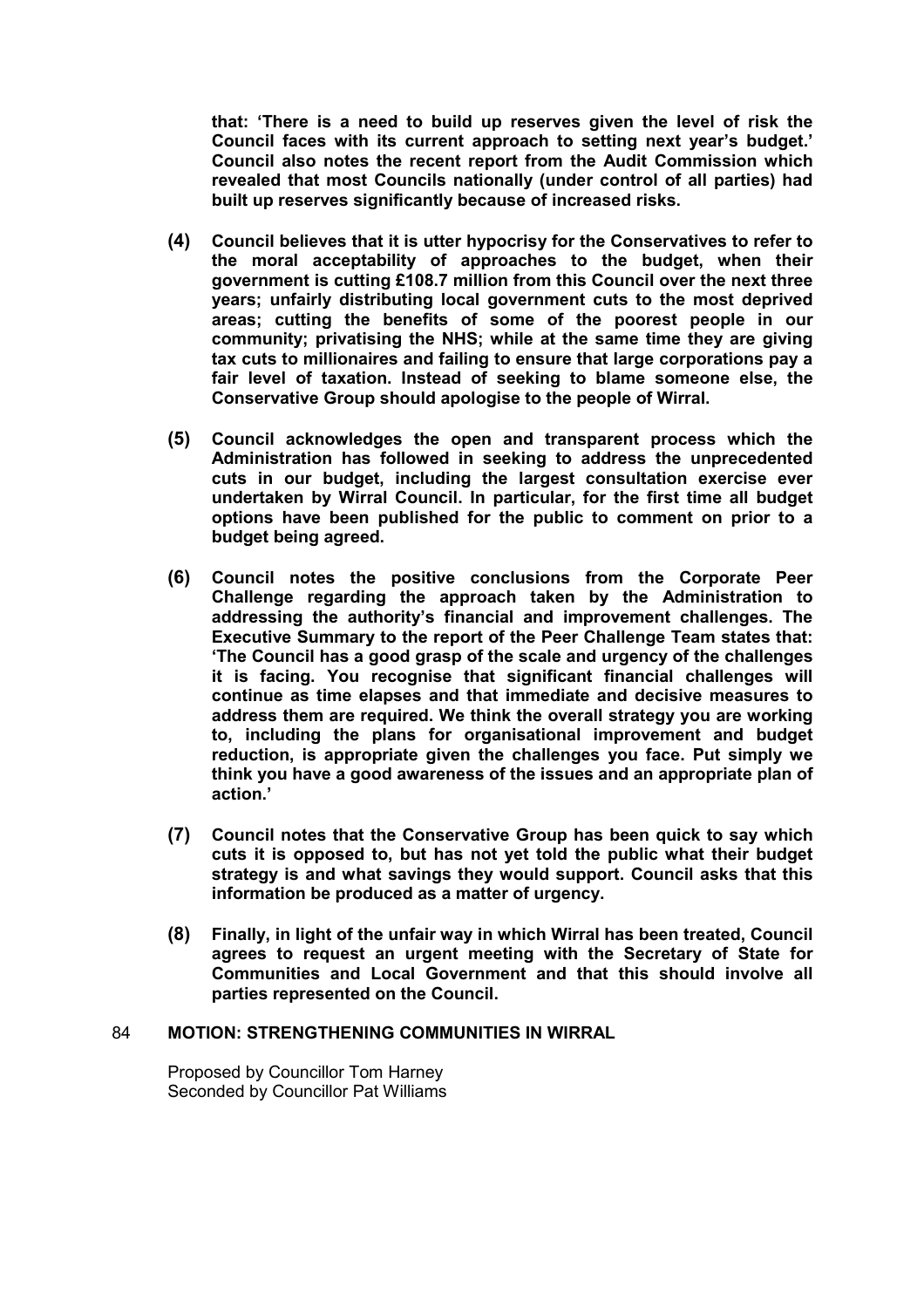**that: 'There is a need to build up reserves given the level of risk the Council faces with its current approach to setting next year's budget.' Council also notes the recent report from the Audit Commission which revealed that most Councils nationally (under control of all parties) had built up reserves significantly because of increased risks.** 

- **(4) Council believes that it is utter hypocrisy for the Conservatives to refer to the moral acceptability of approaches to the budget, when their government is cutting £108.7 million from this Council over the next three years; unfairly distributing local government cuts to the most deprived areas; cutting the benefits of some of the poorest people in our community; privatising the NHS; while at the same time they are giving tax cuts to millionaires and failing to ensure that large corporations pay a fair level of taxation. Instead of seeking to blame someone else, the Conservative Group should apologise to the people of Wirral.**
- **(5) Council acknowledges the open and transparent process which the Administration has followed in seeking to address the unprecedented cuts in our budget, including the largest consultation exercise ever undertaken by Wirral Council. In particular, for the first time all budget options have been published for the public to comment on prior to a budget being agreed.**
- **(6) Council notes the positive conclusions from the Corporate Peer Challenge regarding the approach taken by the Administration to addressing the authority's financial and improvement challenges. The Executive Summary to the report of the Peer Challenge Team states that: 'The Council has a good grasp of the scale and urgency of the challenges it is facing. You recognise that significant financial challenges will continue as time elapses and that immediate and decisive measures to address them are required. We think the overall strategy you are working to, including the plans for organisational improvement and budget reduction, is appropriate given the challenges you face. Put simply we think you have a good awareness of the issues and an appropriate plan of action.'**
- **(7) Council notes that the Conservative Group has been quick to say which cuts it is opposed to, but has not yet told the public what their budget strategy is and what savings they would support. Council asks that this information be produced as a matter of urgency.**
- **(8) Finally, in light of the unfair way in which Wirral has been treated, Council agrees to request an urgent meeting with the Secretary of State for Communities and Local Government and that this should involve all parties represented on the Council.**

## 84 **MOTION: STRENGTHENING COMMUNITIES IN WIRRAL**

Proposed by Councillor Tom Harney Seconded by Councillor Pat Williams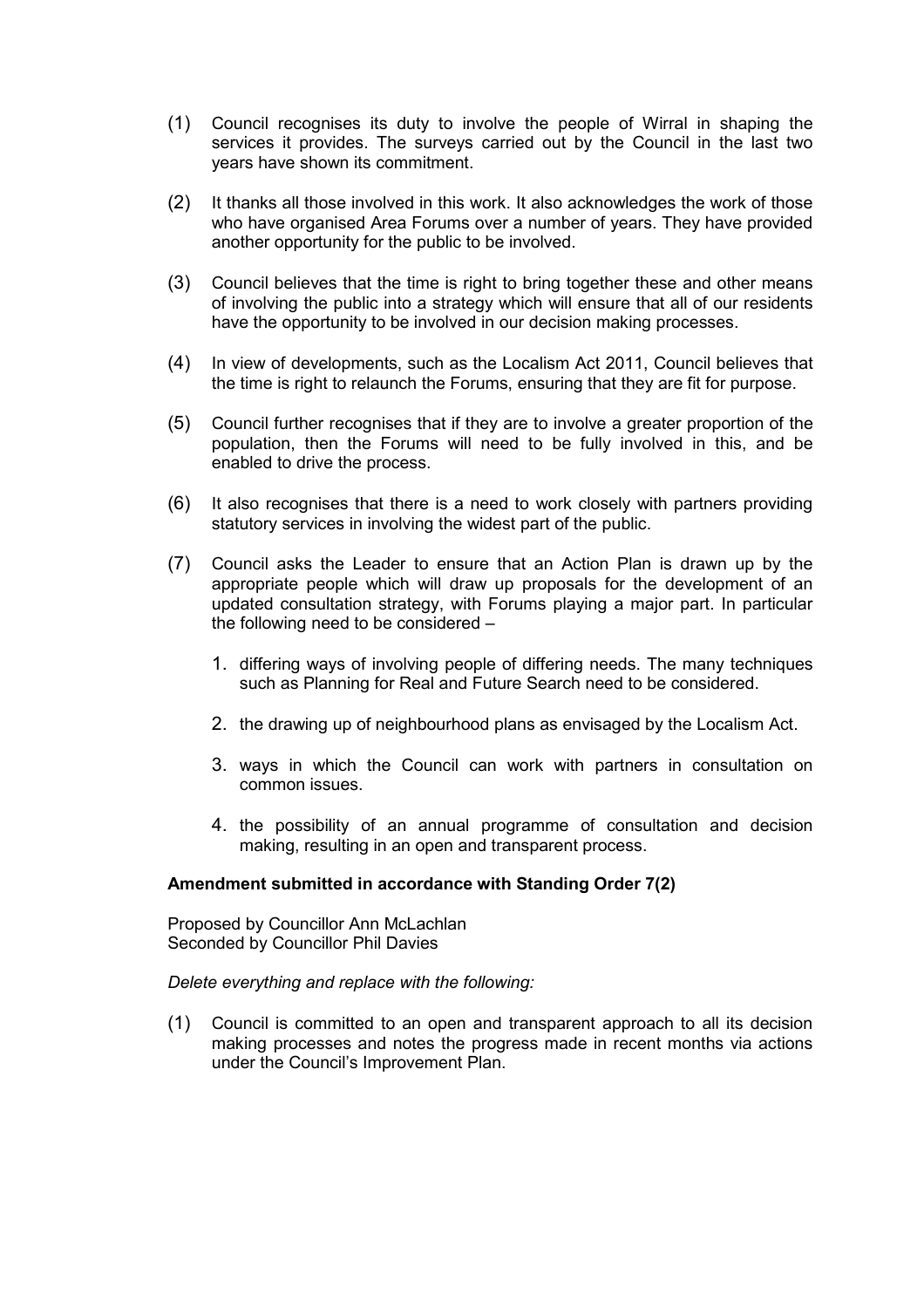- (1) Council recognises its duty to involve the people of Wirral in shaping the services it provides. The surveys carried out by the Council in the last two years have shown its commitment.
- (2) It thanks all those involved in this work. It also acknowledges the work of those who have organised Area Forums over a number of years. They have provided another opportunity for the public to be involved.
- (3) Council believes that the time is right to bring together these and other means of involving the public into a strategy which will ensure that all of our residents have the opportunity to be involved in our decision making processes.
- (4) In view of developments, such as the Localism Act 2011, Council believes that the time is right to relaunch the Forums, ensuring that they are fit for purpose.
- (5) Council further recognises that if they are to involve a greater proportion of the population, then the Forums will need to be fully involved in this, and be enabled to drive the process.
- (6) It also recognises that there is a need to work closely with partners providing statutory services in involving the widest part of the public.
- (7) Council asks the Leader to ensure that an Action Plan is drawn up by the appropriate people which will draw up proposals for the development of an updated consultation strategy, with Forums playing a major part. In particular the following need to be considered –
	- 1. differing ways of involving people of differing needs. The many techniques such as Planning for Real and Future Search need to be considered.
	- 2. the drawing up of neighbourhood plans as envisaged by the Localism Act.
	- 3. ways in which the Council can work with partners in consultation on common issues.
	- 4. the possibility of an annual programme of consultation and decision making, resulting in an open and transparent process.

#### **Amendment submitted in accordance with Standing Order 7(2)**

Proposed by Councillor Ann McLachlan Seconded by Councillor Phil Davies

#### *Delete everything and replace with the following:*

(1) Council is committed to an open and transparent approach to all its decision making processes and notes the progress made in recent months via actions under the Council's Improvement Plan.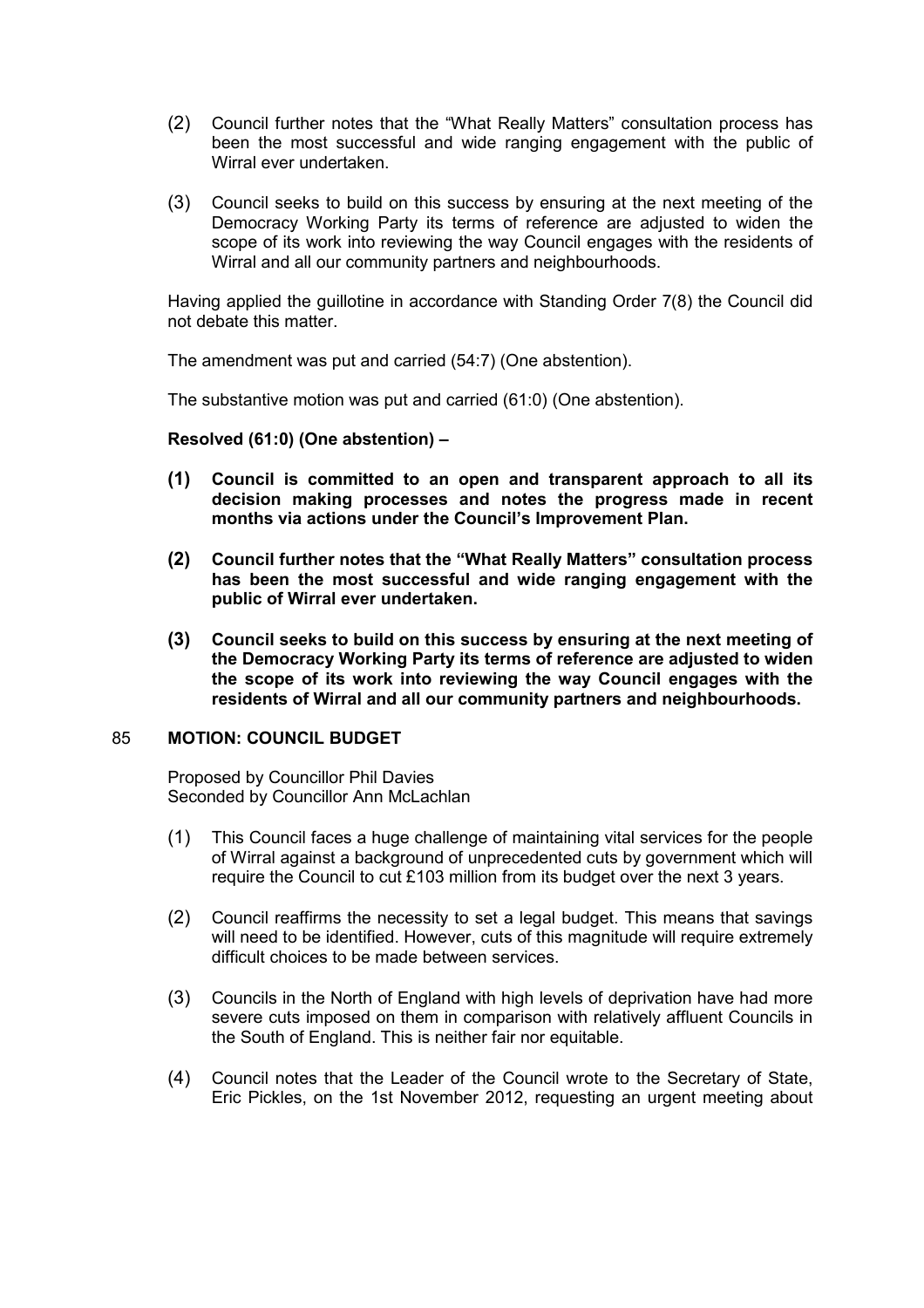- (2) Council further notes that the "What Really Matters" consultation process has been the most successful and wide ranging engagement with the public of Wirral ever undertaken.
- (3) Council seeks to build on this success by ensuring at the next meeting of the Democracy Working Party its terms of reference are adjusted to widen the scope of its work into reviewing the way Council engages with the residents of Wirral and all our community partners and neighbourhoods.

Having applied the guillotine in accordance with Standing Order 7(8) the Council did not debate this matter.

The amendment was put and carried (54:7) (One abstention).

The substantive motion was put and carried (61:0) (One abstention).

**Resolved (61:0) (One abstention) –** 

- **(1) Council is committed to an open and transparent approach to all its decision making processes and notes the progress made in recent months via actions under the Council's Improvement Plan.**
- **(2) Council further notes that the "What Really Matters" consultation process has been the most successful and wide ranging engagement with the public of Wirral ever undertaken.**
- **(3) Council seeks to build on this success by ensuring at the next meeting of the Democracy Working Party its terms of reference are adjusted to widen the scope of its work into reviewing the way Council engages with the residents of Wirral and all our community partners and neighbourhoods.**

#### 85 **MOTION: COUNCIL BUDGET**

Proposed by Councillor Phil Davies Seconded by Councillor Ann McLachlan

- (1) This Council faces a huge challenge of maintaining vital services for the people of Wirral against a background of unprecedented cuts by government which will require the Council to cut £103 million from its budget over the next 3 years.
- (2) Council reaffirms the necessity to set a legal budget. This means that savings will need to be identified. However, cuts of this magnitude will require extremely difficult choices to be made between services.
- (3) Councils in the North of England with high levels of deprivation have had more severe cuts imposed on them in comparison with relatively affluent Councils in the South of England. This is neither fair nor equitable.
- (4) Council notes that the Leader of the Council wrote to the Secretary of State, Eric Pickles, on the 1st November 2012, requesting an urgent meeting about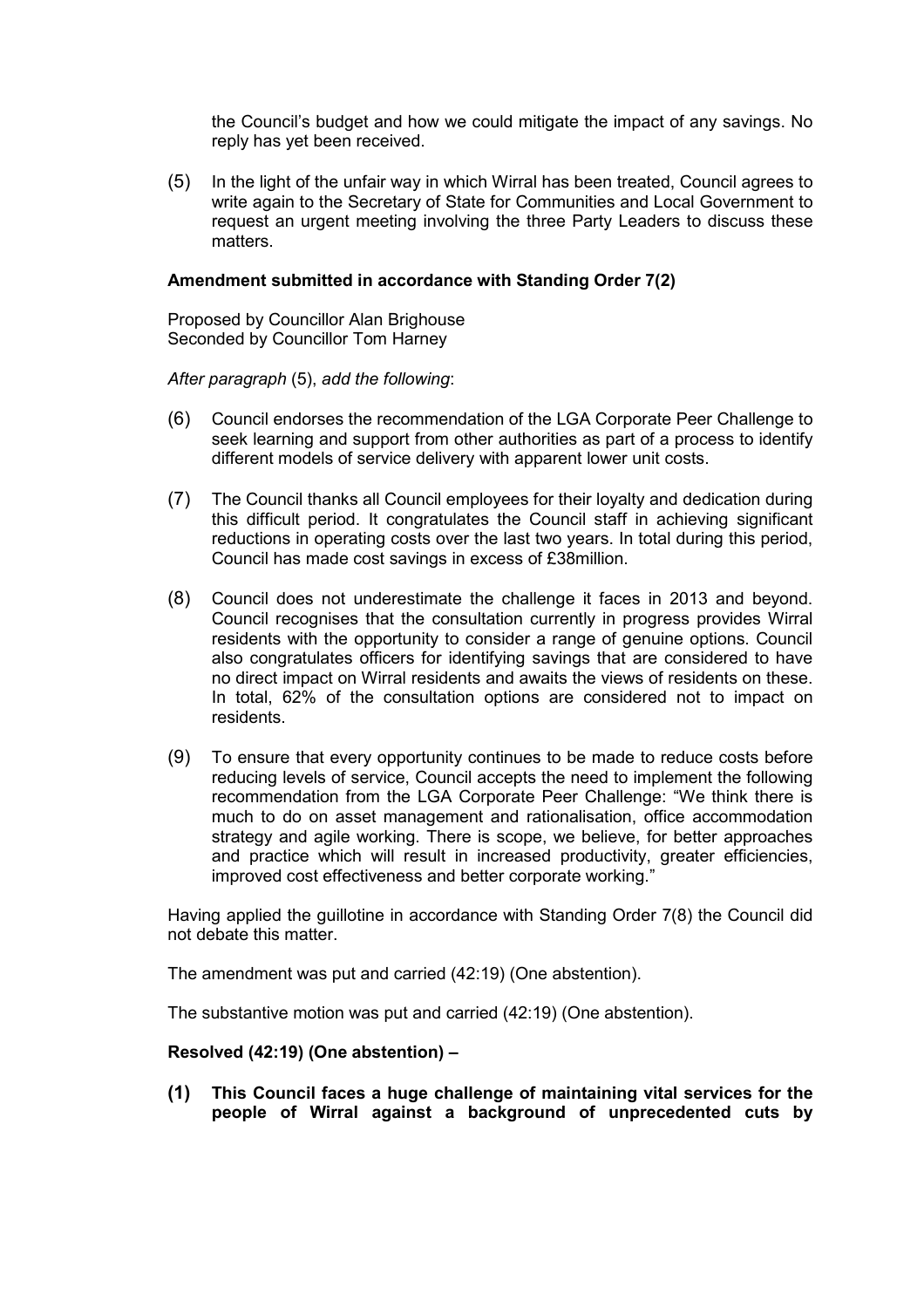the Council's budget and how we could mitigate the impact of any savings. No reply has yet been received.

(5) In the light of the unfair way in which Wirral has been treated, Council agrees to write again to the Secretary of State for Communities and Local Government to request an urgent meeting involving the three Party Leaders to discuss these matters.

#### **Amendment submitted in accordance with Standing Order 7(2)**

Proposed by Councillor Alan Brighouse Seconded by Councillor Tom Harney

*After paragraph* (5), *add the following*:

- (6) Council endorses the recommendation of the LGA Corporate Peer Challenge to seek learning and support from other authorities as part of a process to identify different models of service delivery with apparent lower unit costs.
- (7) The Council thanks all Council employees for their loyalty and dedication during this difficult period. It congratulates the Council staff in achieving significant reductions in operating costs over the last two years. In total during this period, Council has made cost savings in excess of £38million.
- (8) Council does not underestimate the challenge it faces in 2013 and beyond. Council recognises that the consultation currently in progress provides Wirral residents with the opportunity to consider a range of genuine options. Council also congratulates officers for identifying savings that are considered to have no direct impact on Wirral residents and awaits the views of residents on these. In total, 62% of the consultation options are considered not to impact on residents.
- (9) To ensure that every opportunity continues to be made to reduce costs before reducing levels of service, Council accepts the need to implement the following recommendation from the LGA Corporate Peer Challenge: "We think there is much to do on asset management and rationalisation, office accommodation strategy and agile working. There is scope, we believe, for better approaches and practice which will result in increased productivity, greater efficiencies, improved cost effectiveness and better corporate working."

Having applied the guillotine in accordance with Standing Order 7(8) the Council did not debate this matter.

The amendment was put and carried (42:19) (One abstention).

The substantive motion was put and carried (42:19) (One abstention).

## **Resolved (42:19) (One abstention) –**

**(1) This Council faces a huge challenge of maintaining vital services for the people of Wirral against a background of unprecedented cuts by**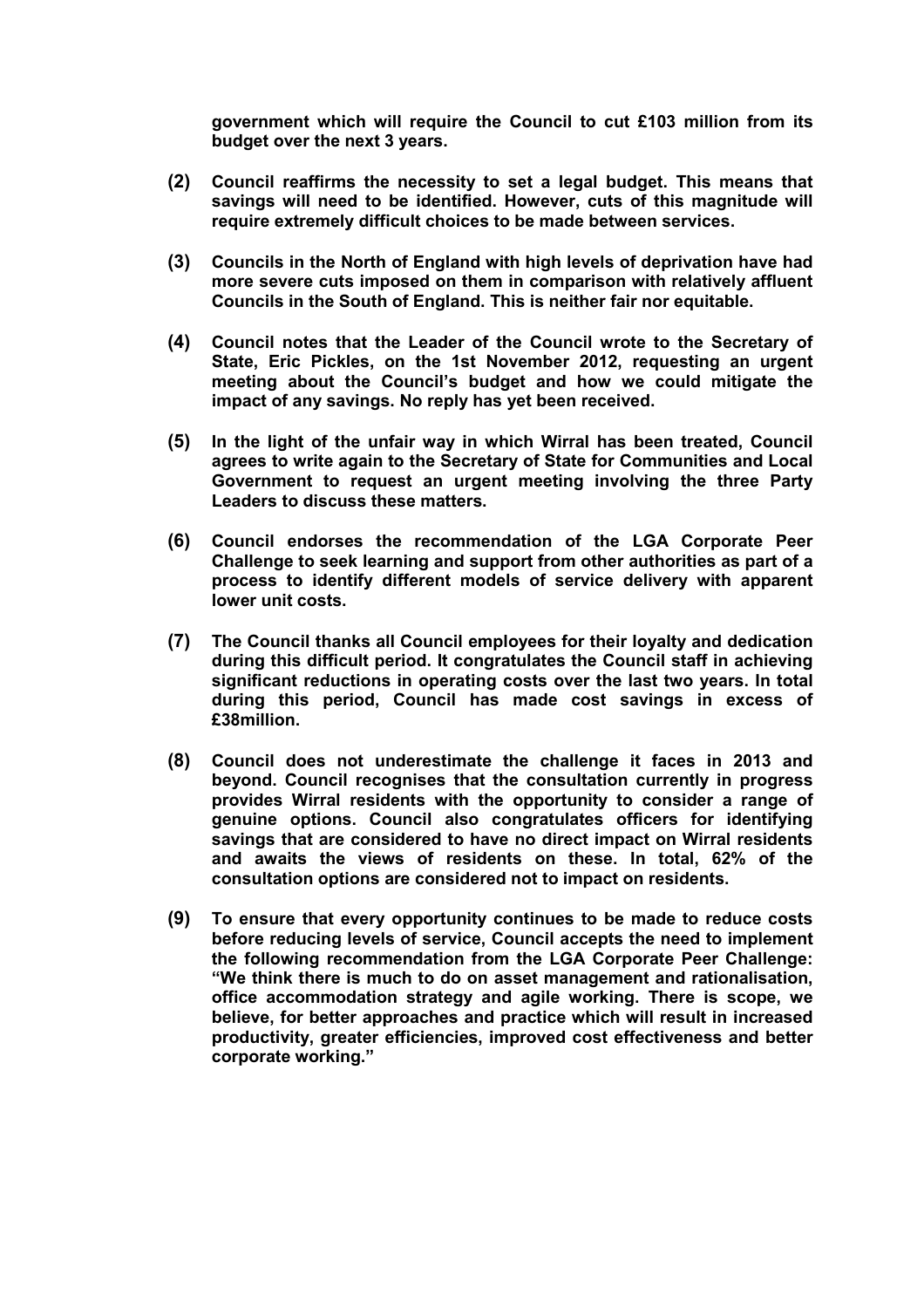**government which will require the Council to cut £103 million from its budget over the next 3 years.** 

- **(2) Council reaffirms the necessity to set a legal budget. This means that savings will need to be identified. However, cuts of this magnitude will require extremely difficult choices to be made between services.**
- **(3) Councils in the North of England with high levels of deprivation have had more severe cuts imposed on them in comparison with relatively affluent Councils in the South of England. This is neither fair nor equitable.**
- **(4) Council notes that the Leader of the Council wrote to the Secretary of State, Eric Pickles, on the 1st November 2012, requesting an urgent meeting about the Council's budget and how we could mitigate the impact of any savings. No reply has yet been received.**
- **(5) In the light of the unfair way in which Wirral has been treated, Council agrees to write again to the Secretary of State for Communities and Local Government to request an urgent meeting involving the three Party Leaders to discuss these matters.**
- **(6) Council endorses the recommendation of the LGA Corporate Peer Challenge to seek learning and support from other authorities as part of a process to identify different models of service delivery with apparent lower unit costs.**
- **(7) The Council thanks all Council employees for their loyalty and dedication during this difficult period. It congratulates the Council staff in achieving significant reductions in operating costs over the last two years. In total during this period, Council has made cost savings in excess of £38million.**
- **(8) Council does not underestimate the challenge it faces in 2013 and beyond. Council recognises that the consultation currently in progress provides Wirral residents with the opportunity to consider a range of genuine options. Council also congratulates officers for identifying savings that are considered to have no direct impact on Wirral residents and awaits the views of residents on these. In total, 62% of the consultation options are considered not to impact on residents.**
- **(9) To ensure that every opportunity continues to be made to reduce costs before reducing levels of service, Council accepts the need to implement the following recommendation from the LGA Corporate Peer Challenge: "We think there is much to do on asset management and rationalisation, office accommodation strategy and agile working. There is scope, we believe, for better approaches and practice which will result in increased productivity, greater efficiencies, improved cost effectiveness and better corporate working."**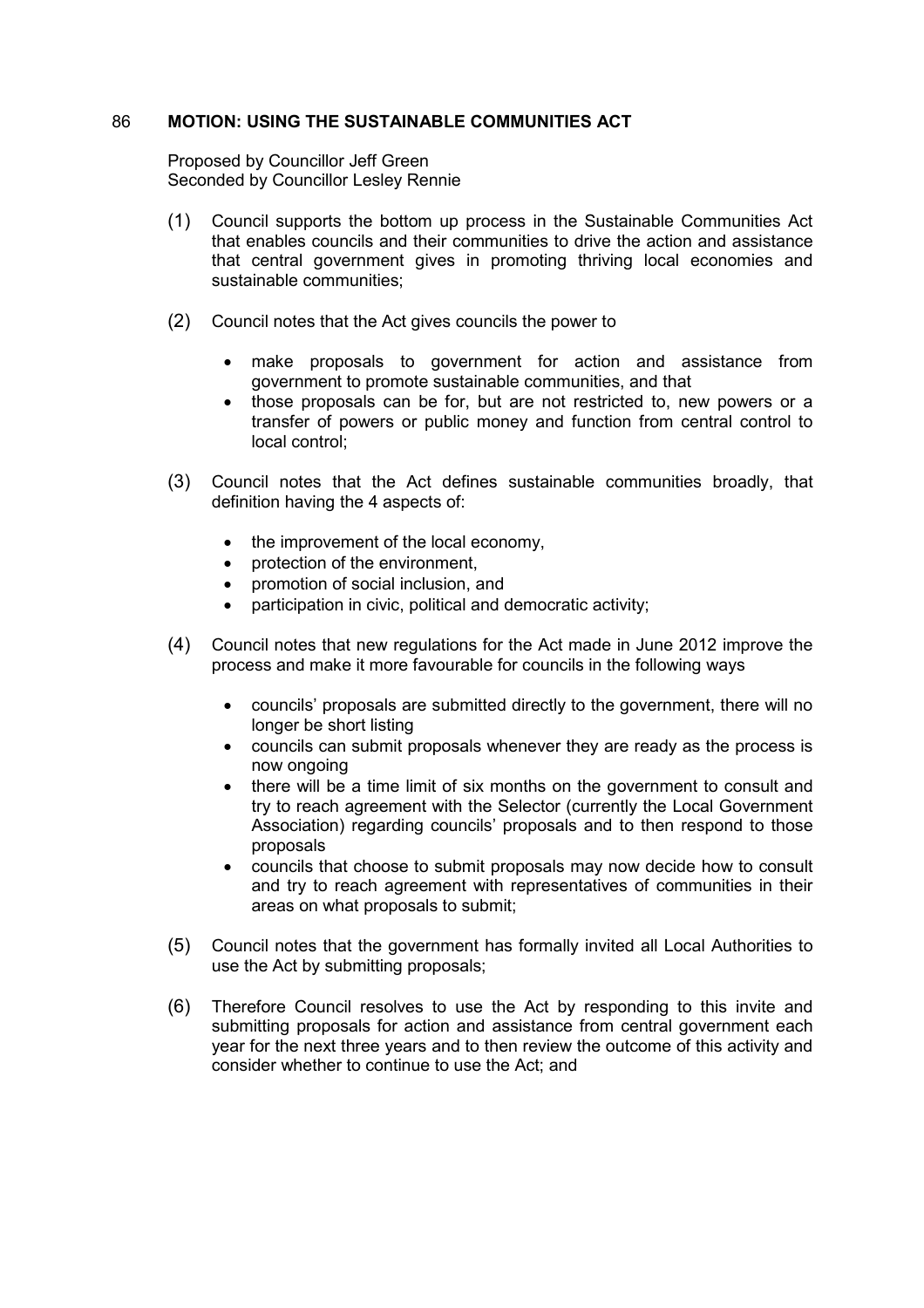#### 86 **MOTION: USING THE SUSTAINABLE COMMUNITIES ACT**

Proposed by Councillor Jeff Green Seconded by Councillor Lesley Rennie

- (1) Council supports the bottom up process in the Sustainable Communities Act that enables councils and their communities to drive the action and assistance that central government gives in promoting thriving local economies and sustainable communities;
- (2) Council notes that the Act gives councils the power to
	- make proposals to government for action and assistance from government to promote sustainable communities, and that
	- those proposals can be for, but are not restricted to, new powers or a transfer of powers or public money and function from central control to local control;
- (3) Council notes that the Act defines sustainable communities broadly, that definition having the 4 aspects of:
	- the improvement of the local economy,
	- protection of the environment,
	- promotion of social inclusion, and
	- participation in civic, political and democratic activity;
- (4) Council notes that new regulations for the Act made in June 2012 improve the process and make it more favourable for councils in the following ways
	- councils' proposals are submitted directly to the government, there will no longer be short listing
	- councils can submit proposals whenever they are ready as the process is now ongoing
	- there will be a time limit of six months on the government to consult and try to reach agreement with the Selector (currently the Local Government Association) regarding councils' proposals and to then respond to those proposals
	- councils that choose to submit proposals may now decide how to consult and try to reach agreement with representatives of communities in their areas on what proposals to submit;
- (5) Council notes that the government has formally invited all Local Authorities to use the Act by submitting proposals;
- (6) Therefore Council resolves to use the Act by responding to this invite and submitting proposals for action and assistance from central government each year for the next three years and to then review the outcome of this activity and consider whether to continue to use the Act; and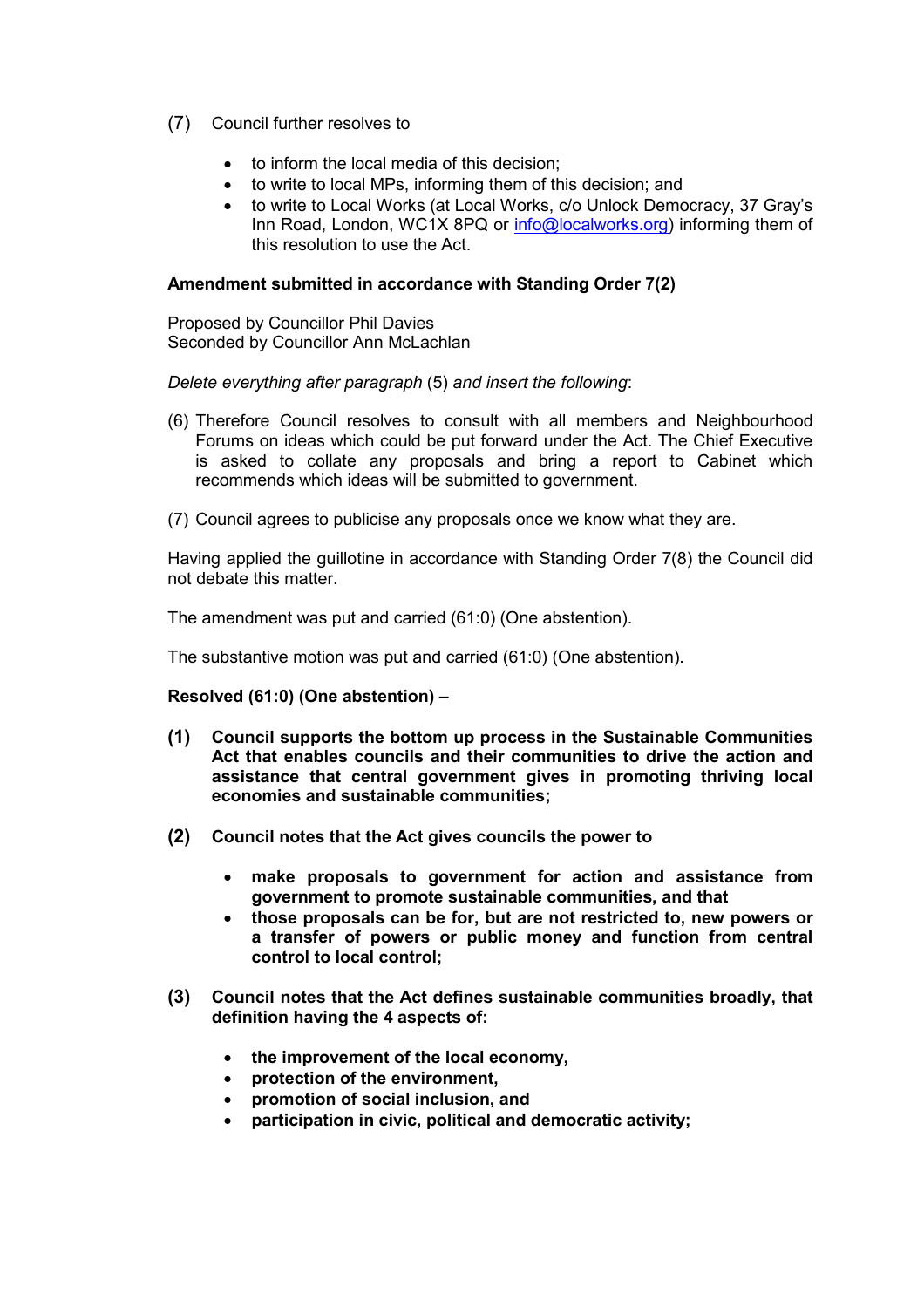- (7) Council further resolves to
	- to inform the local media of this decision;
	- to write to local MPs, informing them of this decision; and
	- to write to Local Works (at Local Works, c/o Unlock Democracy, 37 Gray's Inn Road, London, WC1X 8PQ or info@localworks.org) informing them of this resolution to use the Act.

#### **Amendment submitted in accordance with Standing Order 7(2)**

Proposed by Councillor Phil Davies Seconded by Councillor Ann McLachlan

*Delete everything after paragraph* (5) *and insert the following*:

- (6) Therefore Council resolves to consult with all members and Neighbourhood Forums on ideas which could be put forward under the Act. The Chief Executive is asked to collate any proposals and bring a report to Cabinet which recommends which ideas will be submitted to government.
- (7) Council agrees to publicise any proposals once we know what they are.

Having applied the guillotine in accordance with Standing Order 7(8) the Council did not debate this matter.

The amendment was put and carried (61:0) (One abstention).

The substantive motion was put and carried (61:0) (One abstention).

## **Resolved (61:0) (One abstention) –**

- **(1) Council supports the bottom up process in the Sustainable Communities Act that enables councils and their communities to drive the action and assistance that central government gives in promoting thriving local economies and sustainable communities;**
- **(2) Council notes that the Act gives councils the power to** 
	- **make proposals to government for action and assistance from government to promote sustainable communities, and that**
	- **those proposals can be for, but are not restricted to, new powers or a transfer of powers or public money and function from central control to local control;**
- **(3) Council notes that the Act defines sustainable communities broadly, that definition having the 4 aspects of:** 
	- **the improvement of the local economy,**
	- **protection of the environment,**
	- **promotion of social inclusion, and**
	- **participation in civic, political and democratic activity;**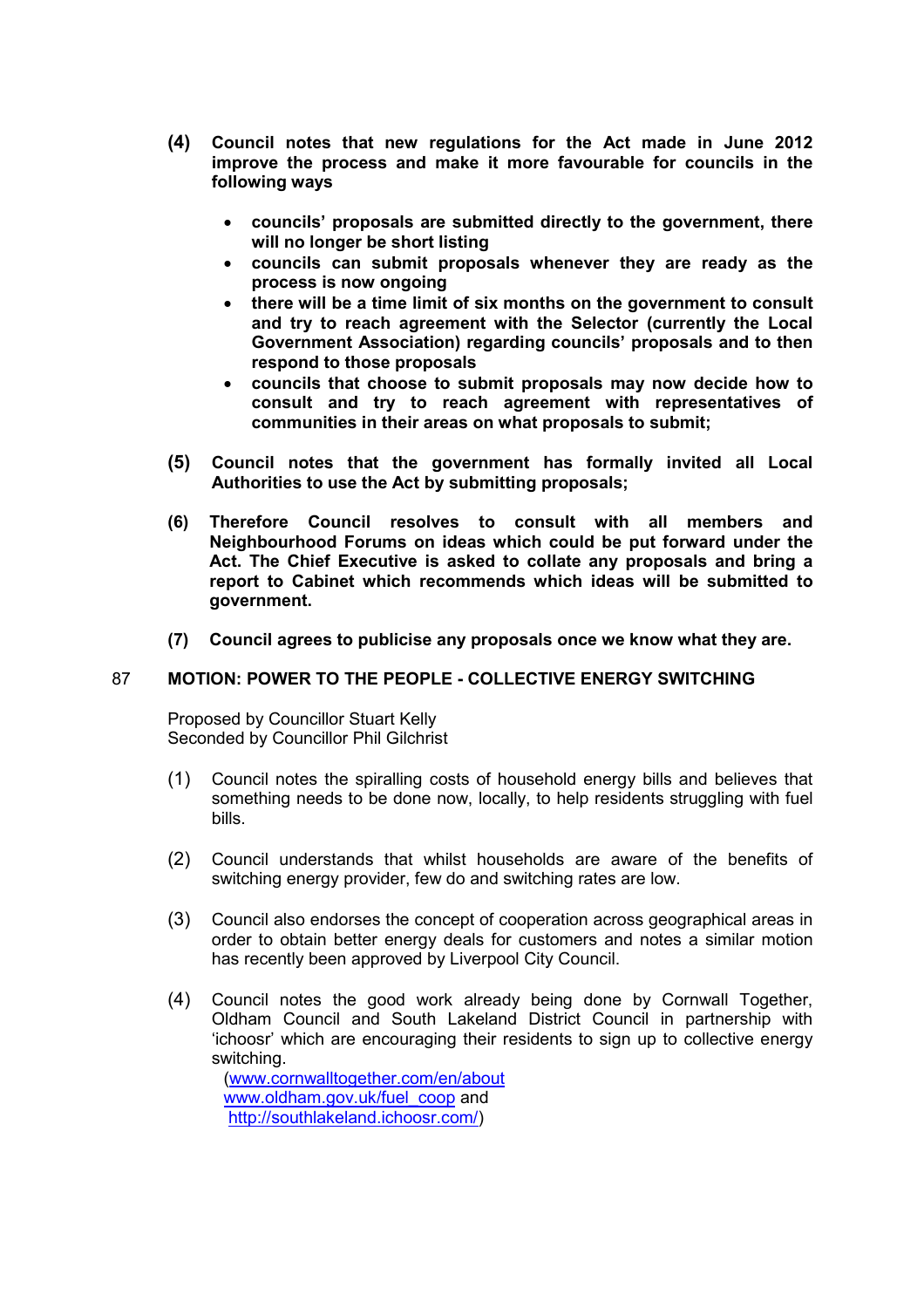- **(4) Council notes that new regulations for the Act made in June 2012 improve the process and make it more favourable for councils in the following ways** 
	- **councils' proposals are submitted directly to the government, there will no longer be short listing**
	- **councils can submit proposals whenever they are ready as the process is now ongoing**
	- **there will be a time limit of six months on the government to consult and try to reach agreement with the Selector (currently the Local Government Association) regarding councils' proposals and to then respond to those proposals**
	- **councils that choose to submit proposals may now decide how to consult and try to reach agreement with representatives of communities in their areas on what proposals to submit;**
- **(5) Council notes that the government has formally invited all Local Authorities to use the Act by submitting proposals;**
- **(6) Therefore Council resolves to consult with all members and Neighbourhood Forums on ideas which could be put forward under the Act. The Chief Executive is asked to collate any proposals and bring a report to Cabinet which recommends which ideas will be submitted to government.**
- **(7) Council agrees to publicise any proposals once we know what they are.**

#### 87 **MOTION: POWER TO THE PEOPLE - COLLECTIVE ENERGY SWITCHING**

Proposed by Councillor Stuart Kelly Seconded by Councillor Phil Gilchrist

- (1) Council notes the spiralling costs of household energy bills and believes that something needs to be done now, locally, to help residents struggling with fuel bills.
- (2) Council understands that whilst households are aware of the benefits of switching energy provider, few do and switching rates are low.
- (3) Council also endorses the concept of cooperation across geographical areas in order to obtain better energy deals for customers and notes a similar motion has recently been approved by Liverpool City Council.
- (4) Council notes the good work already being done by Cornwall Together, Oldham Council and South Lakeland District Council in partnership with 'ichoosr' which are encouraging their residents to sign up to collective energy switching.

(www.cornwalltogether.com/en/about www.oldham.gov.uk/fuel\_coop and http://southlakeland.ichoosr.com/)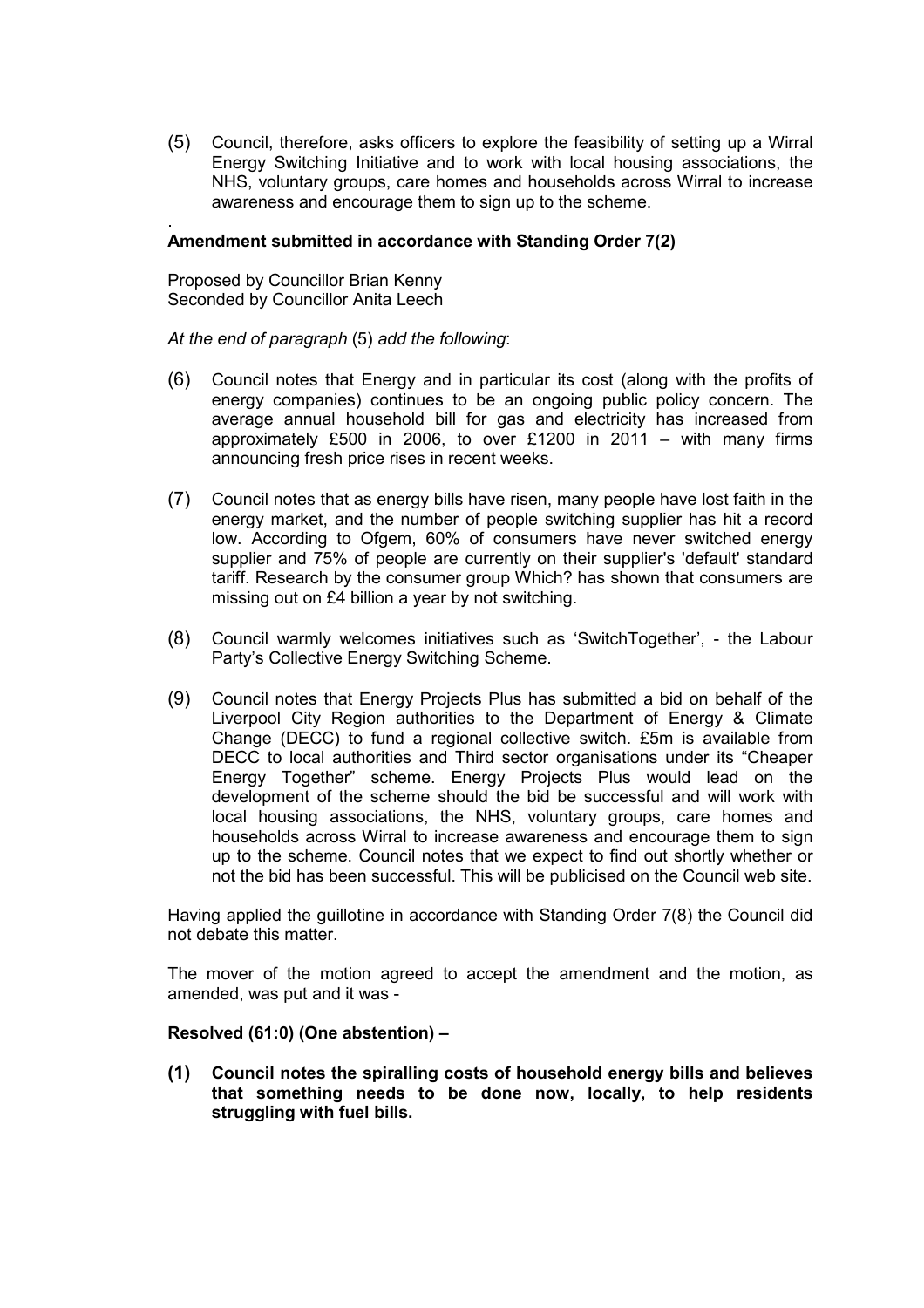(5) Council, therefore, asks officers to explore the feasibility of setting up a Wirral Energy Switching Initiative and to work with local housing associations, the NHS, voluntary groups, care homes and households across Wirral to increase awareness and encourage them to sign up to the scheme.

#### . **Amendment submitted in accordance with Standing Order 7(2)**

Proposed by Councillor Brian Kenny Seconded by Councillor Anita Leech

*At the end of paragraph* (5) *add the following*:

- (6) Council notes that Energy and in particular its cost (along with the profits of energy companies) continues to be an ongoing public policy concern. The average annual household bill for gas and electricity has increased from approximately £500 in 2006, to over £1200 in 2011 – with many firms announcing fresh price rises in recent weeks.
- (7) Council notes that as energy bills have risen, many people have lost faith in the energy market, and the number of people switching supplier has hit a record low. According to Ofgem, 60% of consumers have never switched energy supplier and 75% of people are currently on their supplier's 'default' standard tariff. Research by the consumer group Which? has shown that consumers are missing out on £4 billion a year by not switching.
- (8) Council warmly welcomes initiatives such as 'SwitchTogether', the Labour Party's Collective Energy Switching Scheme.
- (9) Council notes that Energy Projects Plus has submitted a bid on behalf of the Liverpool City Region authorities to the Department of Energy & Climate Change (DECC) to fund a regional collective switch. £5m is available from DECC to local authorities and Third sector organisations under its "Cheaper Energy Together" scheme. Energy Projects Plus would lead on the development of the scheme should the bid be successful and will work with local housing associations, the NHS, voluntary groups, care homes and households across Wirral to increase awareness and encourage them to sign up to the scheme. Council notes that we expect to find out shortly whether or not the bid has been successful. This will be publicised on the Council web site.

Having applied the guillotine in accordance with Standing Order 7(8) the Council did not debate this matter.

The mover of the motion agreed to accept the amendment and the motion, as amended, was put and it was -

#### **Resolved (61:0) (One abstention) –**

**(1) Council notes the spiralling costs of household energy bills and believes that something needs to be done now, locally, to help residents struggling with fuel bills.**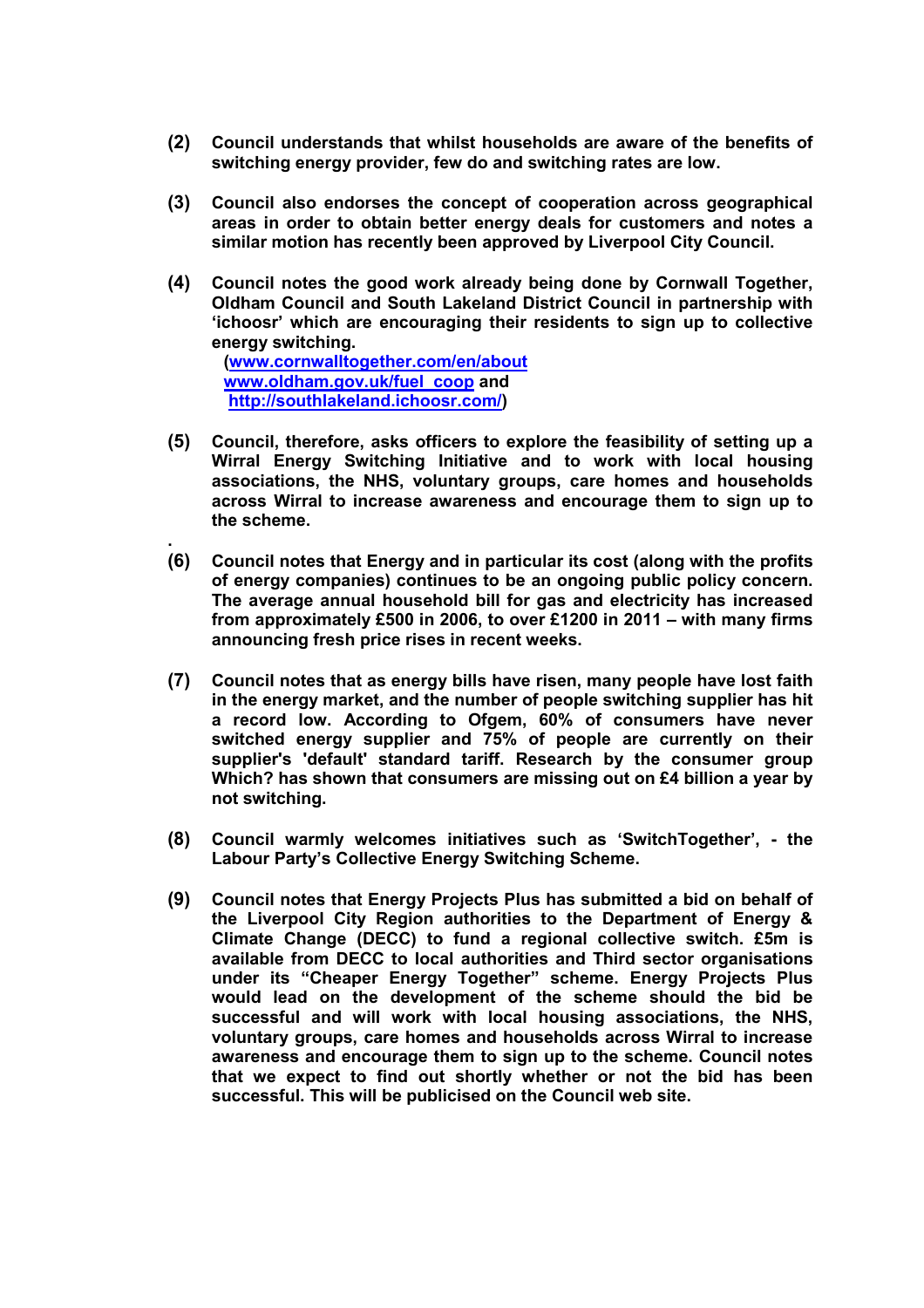- **(2) Council understands that whilst households are aware of the benefits of switching energy provider, few do and switching rates are low.**
- **(3) Council also endorses the concept of cooperation across geographical areas in order to obtain better energy deals for customers and notes a similar motion has recently been approved by Liverpool City Council.**
- **(4) Council notes the good work already being done by Cornwall Together, Oldham Council and South Lakeland District Council in partnership with 'ichoosr' which are encouraging their residents to sign up to collective energy switching.**

**(www.cornwalltogether.com/en/about www.oldham.gov.uk/fuel\_coop and http://southlakeland.ichoosr.com/)** 

**.** 

- **(5) Council, therefore, asks officers to explore the feasibility of setting up a Wirral Energy Switching Initiative and to work with local housing associations, the NHS, voluntary groups, care homes and households across Wirral to increase awareness and encourage them to sign up to the scheme.**
- **(6) Council notes that Energy and in particular its cost (along with the profits of energy companies) continues to be an ongoing public policy concern. The average annual household bill for gas and electricity has increased from approximately £500 in 2006, to over £1200 in 2011 – with many firms announcing fresh price rises in recent weeks.**
- **(7) Council notes that as energy bills have risen, many people have lost faith in the energy market, and the number of people switching supplier has hit a record low. According to Ofgem, 60% of consumers have never switched energy supplier and 75% of people are currently on their supplier's 'default' standard tariff. Research by the consumer group Which? has shown that consumers are missing out on £4 billion a year by not switching.**
- **(8) Council warmly welcomes initiatives such as 'SwitchTogether', the Labour Party's Collective Energy Switching Scheme.**
- **(9) Council notes that Energy Projects Plus has submitted a bid on behalf of the Liverpool City Region authorities to the Department of Energy & Climate Change (DECC) to fund a regional collective switch. £5m is available from DECC to local authorities and Third sector organisations under its "Cheaper Energy Together" scheme. Energy Projects Plus would lead on the development of the scheme should the bid be successful and will work with local housing associations, the NHS, voluntary groups, care homes and households across Wirral to increase awareness and encourage them to sign up to the scheme. Council notes that we expect to find out shortly whether or not the bid has been successful. This will be publicised on the Council web site.**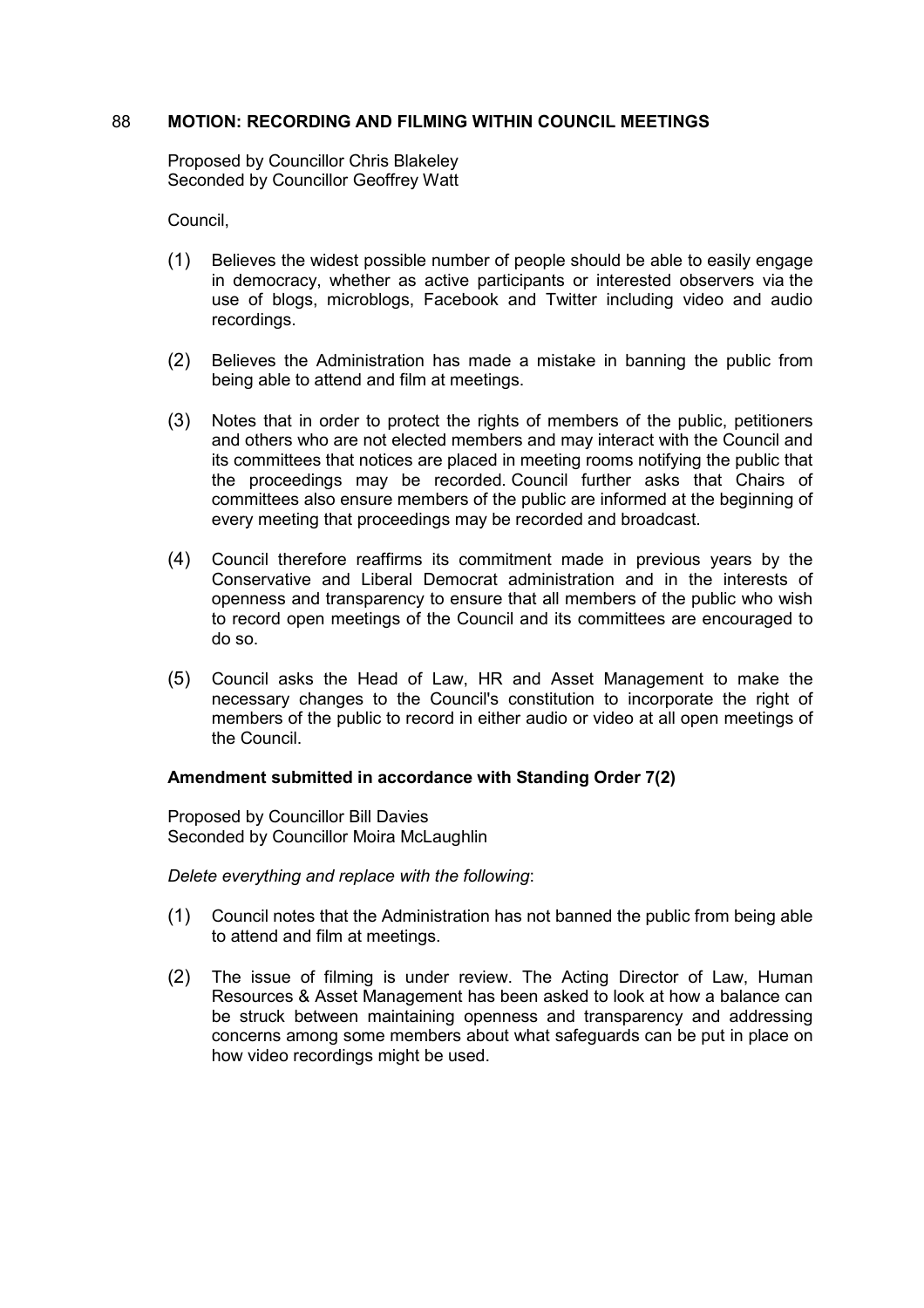#### 88 **MOTION: RECORDING AND FILMING WITHIN COUNCIL MEETINGS**

Proposed by Councillor Chris Blakeley Seconded by Councillor Geoffrey Watt

Council,

- (1) Believes the widest possible number of people should be able to easily engage in democracy, whether as active participants or interested observers via the use of blogs, microblogs, Facebook and Twitter including video and audio recordings.
- (2) Believes the Administration has made a mistake in banning the public from being able to attend and film at meetings.
- (3) Notes that in order to protect the rights of members of the public, petitioners and others who are not elected members and may interact with the Council and its committees that notices are placed in meeting rooms notifying the public that the proceedings may be recorded. Council further asks that Chairs of committees also ensure members of the public are informed at the beginning of every meeting that proceedings may be recorded and broadcast.
- (4) Council therefore reaffirms its commitment made in previous years by the Conservative and Liberal Democrat administration and in the interests of openness and transparency to ensure that all members of the public who wish to record open meetings of the Council and its committees are encouraged to do so.
- (5) Council asks the Head of Law, HR and Asset Management to make the necessary changes to the Council's constitution to incorporate the right of members of the public to record in either audio or video at all open meetings of the Council.

#### **Amendment submitted in accordance with Standing Order 7(2)**

Proposed by Councillor Bill Davies Seconded by Councillor Moira McLaughlin

*Delete everything and replace with the following*:

- (1) Council notes that the Administration has not banned the public from being able to attend and film at meetings.
- (2) The issue of filming is under review. The Acting Director of Law, Human Resources & Asset Management has been asked to look at how a balance can be struck between maintaining openness and transparency and addressing concerns among some members about what safeguards can be put in place on how video recordings might be used.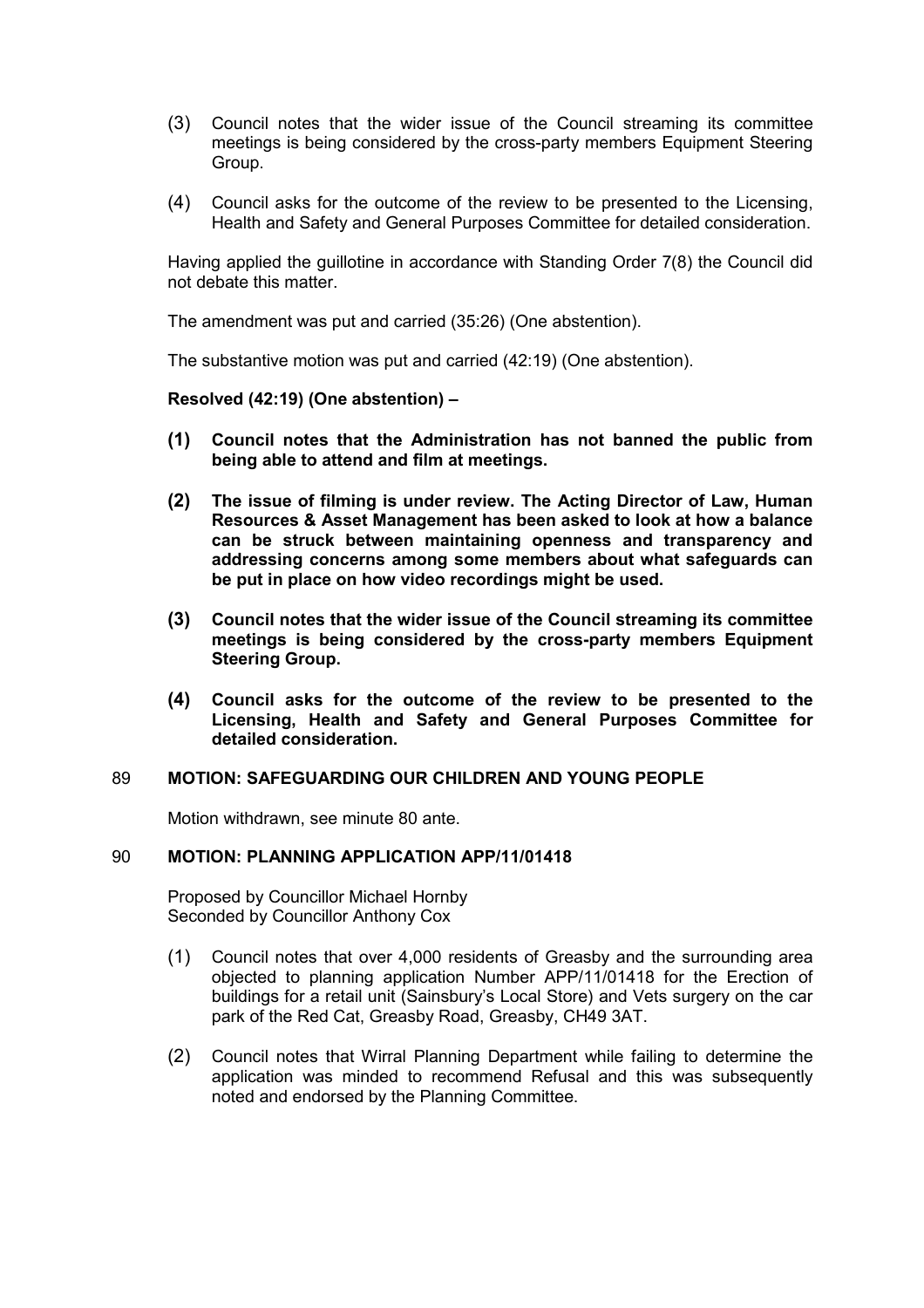- (3) Council notes that the wider issue of the Council streaming its committee meetings is being considered by the cross-party members Equipment Steering Group.
- (4) Council asks for the outcome of the review to be presented to the Licensing, Health and Safety and General Purposes Committee for detailed consideration.

Having applied the guillotine in accordance with Standing Order 7(8) the Council did not debate this matter.

The amendment was put and carried (35:26) (One abstention).

The substantive motion was put and carried (42:19) (One abstention).

#### **Resolved (42:19) (One abstention) –**

- **(1) Council notes that the Administration has not banned the public from being able to attend and film at meetings.**
- **(2) The issue of filming is under review. The Acting Director of Law, Human Resources & Asset Management has been asked to look at how a balance can be struck between maintaining openness and transparency and addressing concerns among some members about what safeguards can be put in place on how video recordings might be used.**
- **(3) Council notes that the wider issue of the Council streaming its committee meetings is being considered by the cross-party members Equipment Steering Group.**
- **(4) Council asks for the outcome of the review to be presented to the Licensing, Health and Safety and General Purposes Committee for detailed consideration.**

#### 89 **MOTION: SAFEGUARDING OUR CHILDREN AND YOUNG PEOPLE**

Motion withdrawn, see minute 80 ante.

#### 90 **MOTION: PLANNING APPLICATION APP/11/01418**

Proposed by Councillor Michael Hornby Seconded by Councillor Anthony Cox

- (1) Council notes that over 4,000 residents of Greasby and the surrounding area objected to planning application Number APP/11/01418 for the Erection of buildings for a retail unit (Sainsbury's Local Store) and Vets surgery on the car park of the Red Cat, Greasby Road, Greasby, CH49 3AT.
- (2) Council notes that Wirral Planning Department while failing to determine the application was minded to recommend Refusal and this was subsequently noted and endorsed by the Planning Committee.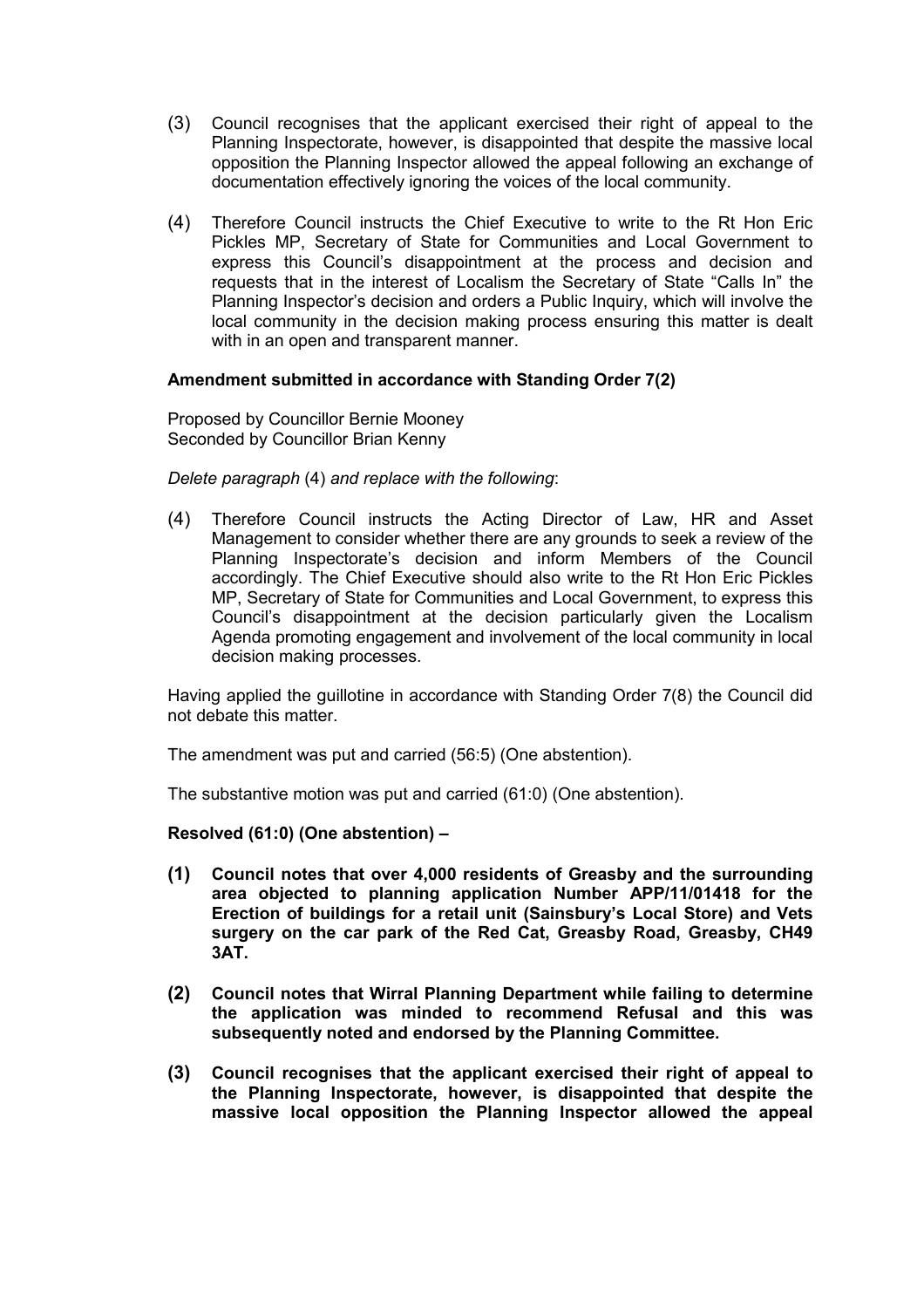- (3) Council recognises that the applicant exercised their right of appeal to the Planning Inspectorate, however, is disappointed that despite the massive local opposition the Planning Inspector allowed the appeal following an exchange of documentation effectively ignoring the voices of the local community.
- (4) Therefore Council instructs the Chief Executive to write to the Rt Hon Eric Pickles MP, Secretary of State for Communities and Local Government to express this Council's disappointment at the process and decision and requests that in the interest of Localism the Secretary of State "Calls In" the Planning Inspector's decision and orders a Public Inquiry, which will involve the local community in the decision making process ensuring this matter is dealt with in an open and transparent manner.

## **Amendment submitted in accordance with Standing Order 7(2)**

Proposed by Councillor Bernie Mooney Seconded by Councillor Brian Kenny

*Delete paragraph* (4) *and replace with the following*:

(4) Therefore Council instructs the Acting Director of Law, HR and Asset Management to consider whether there are any grounds to seek a review of the Planning Inspectorate's decision and inform Members of the Council accordingly. The Chief Executive should also write to the Rt Hon Eric Pickles MP, Secretary of State for Communities and Local Government, to express this Council's disappointment at the decision particularly given the Localism Agenda promoting engagement and involvement of the local community in local decision making processes.

Having applied the guillotine in accordance with Standing Order 7(8) the Council did not debate this matter.

The amendment was put and carried (56:5) (One abstention).

The substantive motion was put and carried (61:0) (One abstention).

## **Resolved (61:0) (One abstention) –**

- **(1) Council notes that over 4,000 residents of Greasby and the surrounding area objected to planning application Number APP/11/01418 for the Erection of buildings for a retail unit (Sainsbury's Local Store) and Vets surgery on the car park of the Red Cat, Greasby Road, Greasby, CH49 3AT.**
- **(2) Council notes that Wirral Planning Department while failing to determine the application was minded to recommend Refusal and this was subsequently noted and endorsed by the Planning Committee.**
- **(3) Council recognises that the applicant exercised their right of appeal to the Planning Inspectorate, however, is disappointed that despite the massive local opposition the Planning Inspector allowed the appeal**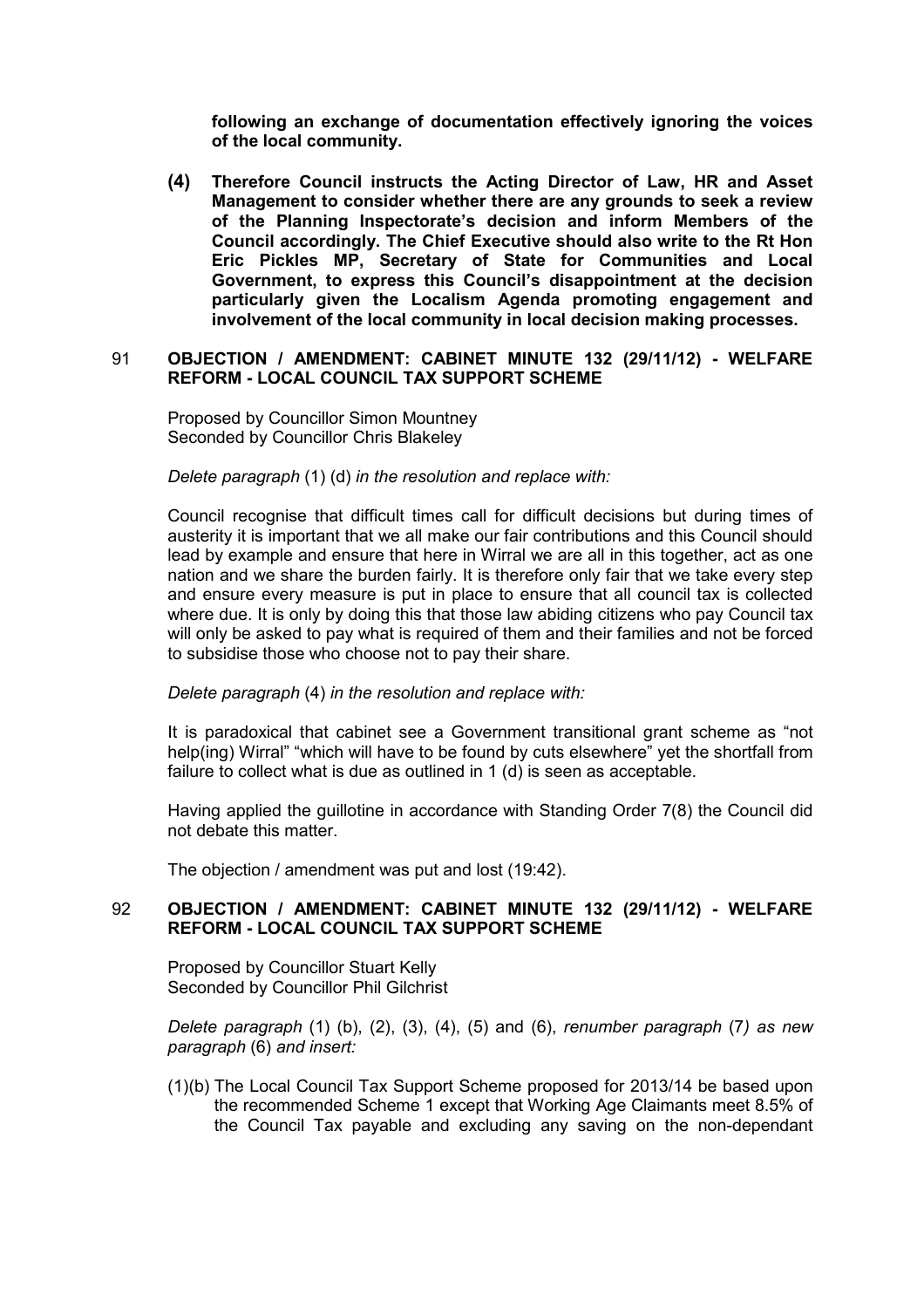**following an exchange of documentation effectively ignoring the voices of the local community.** 

**(4) Therefore Council instructs the Acting Director of Law, HR and Asset Management to consider whether there are any grounds to seek a review of the Planning Inspectorate's decision and inform Members of the Council accordingly. The Chief Executive should also write to the Rt Hon Eric Pickles MP, Secretary of State for Communities and Local Government, to express this Council's disappointment at the decision particularly given the Localism Agenda promoting engagement and involvement of the local community in local decision making processes.**

#### 91 **OBJECTION / AMENDMENT: CABINET MINUTE 132 (29/11/12) - WELFARE REFORM - LOCAL COUNCIL TAX SUPPORT SCHEME**

Proposed by Councillor Simon Mountney Seconded by Councillor Chris Blakeley

*Delete paragraph* (1) (d) *in the resolution and replace with:*

Council recognise that difficult times call for difficult decisions but during times of austerity it is important that we all make our fair contributions and this Council should lead by example and ensure that here in Wirral we are all in this together, act as one nation and we share the burden fairly. It is therefore only fair that we take every step and ensure every measure is put in place to ensure that all council tax is collected where due. It is only by doing this that those law abiding citizens who pay Council tax will only be asked to pay what is required of them and their families and not be forced to subsidise those who choose not to pay their share.

#### *Delete paragraph* (4) *in the resolution and replace with:*

It is paradoxical that cabinet see a Government transitional grant scheme as "not help(ing) Wirral" "which will have to be found by cuts elsewhere" yet the shortfall from failure to collect what is due as outlined in 1 (d) is seen as acceptable.

Having applied the guillotine in accordance with Standing Order 7(8) the Council did not debate this matter.

The objection / amendment was put and lost (19:42).

#### 92 **OBJECTION / AMENDMENT: CABINET MINUTE 132 (29/11/12) - WELFARE REFORM - LOCAL COUNCIL TAX SUPPORT SCHEME**

Proposed by Councillor Stuart Kelly Seconded by Councillor Phil Gilchrist

*Delete paragraph* (1) (b), (2), (3), (4), (5) and (6), *renumber paragraph* (7*) as new paragraph* (6) *and insert:*

(1)(b) The Local Council Tax Support Scheme proposed for 2013/14 be based upon the recommended Scheme 1 except that Working Age Claimants meet 8.5% of the Council Tax payable and excluding any saving on the non-dependant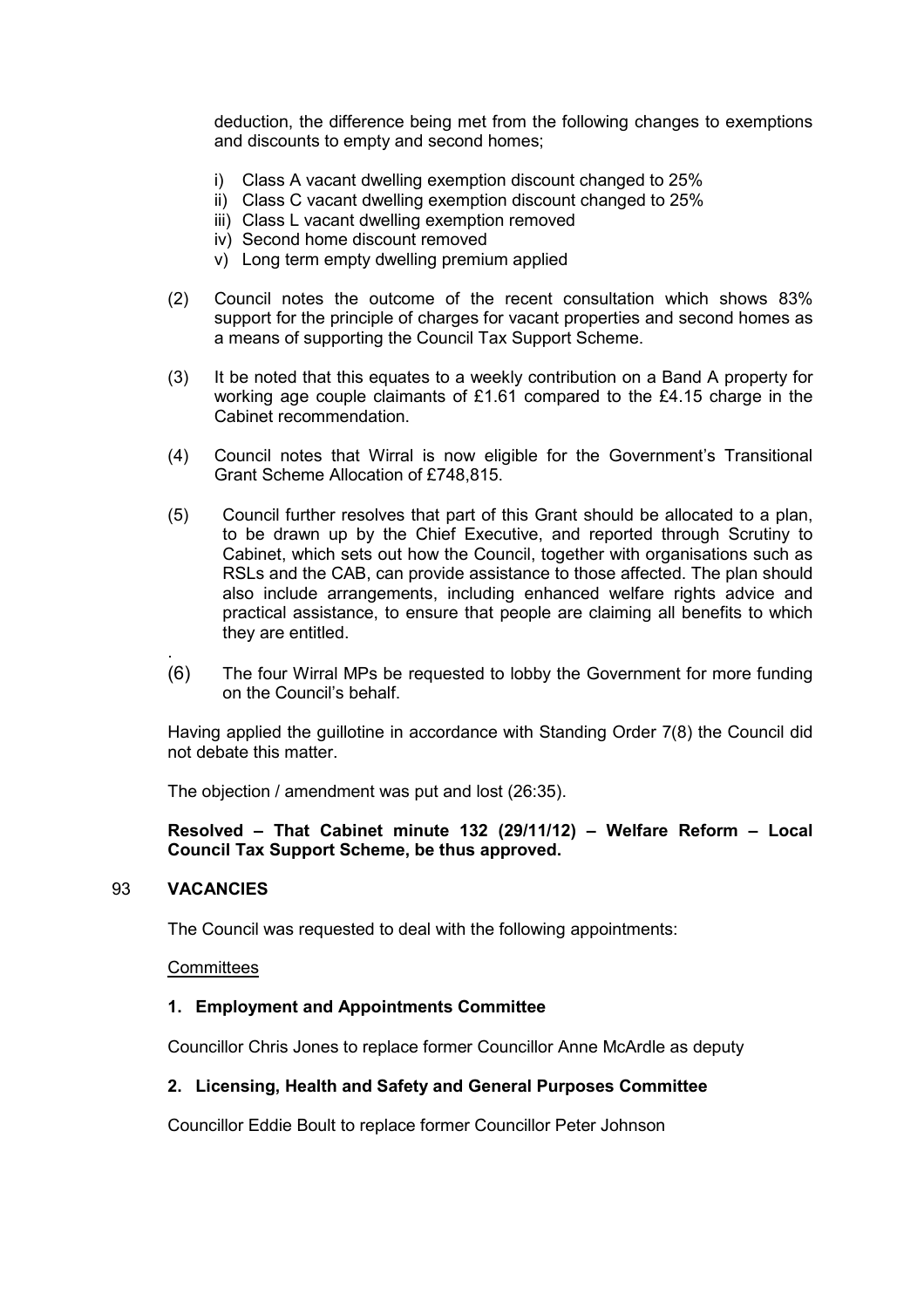deduction, the difference being met from the following changes to exemptions and discounts to empty and second homes;

- i) Class A vacant dwelling exemption discount changed to 25%
- ii) Class C vacant dwelling exemption discount changed to 25%
- iii) Class L vacant dwelling exemption removed
- iv) Second home discount removed
- v) Long term empty dwelling premium applied
- (2) Council notes the outcome of the recent consultation which shows 83% support for the principle of charges for vacant properties and second homes as a means of supporting the Council Tax Support Scheme.
- (3) It be noted that this equates to a weekly contribution on a Band A property for working age couple claimants of £1.61 compared to the £4.15 charge in the Cabinet recommendation.
- (4) Council notes that Wirral is now eligible for the Government's Transitional Grant Scheme Allocation of £748,815.
- (5) Council further resolves that part of this Grant should be allocated to a plan, to be drawn up by the Chief Executive, and reported through Scrutiny to Cabinet, which sets out how the Council, together with organisations such as RSLs and the CAB, can provide assistance to those affected. The plan should also include arrangements, including enhanced welfare rights advice and practical assistance, to ensure that people are claiming all benefits to which they are entitled.
- . (6) The four Wirral MPs be requested to lobby the Government for more funding on the Council's behalf.

Having applied the guillotine in accordance with Standing Order 7(8) the Council did not debate this matter.

The objection / amendment was put and lost (26:35).

## **Resolved – That Cabinet minute 132 (29/11/12) – Welfare Reform – Local Council Tax Support Scheme, be thus approved.**

#### 93 **VACANCIES**

The Council was requested to deal with the following appointments:

#### **Committees**

#### **1. Employment and Appointments Committee**

Councillor Chris Jones to replace former Councillor Anne McArdle as deputy

#### **2. Licensing, Health and Safety and General Purposes Committee**

Councillor Eddie Boult to replace former Councillor Peter Johnson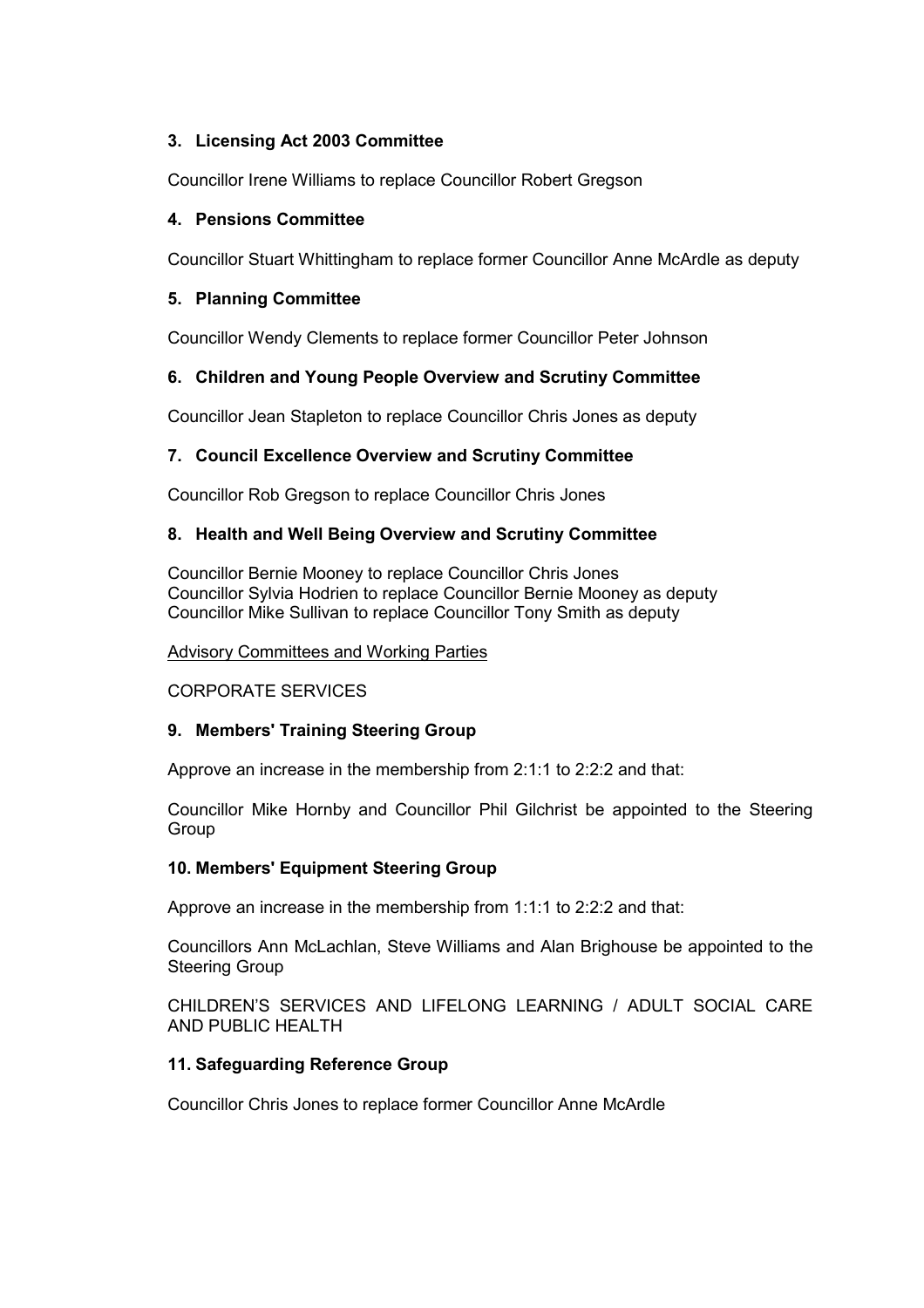## **3. Licensing Act 2003 Committee**

Councillor Irene Williams to replace Councillor Robert Gregson

## **4. Pensions Committee**

Councillor Stuart Whittingham to replace former Councillor Anne McArdle as deputy

## **5. Planning Committee**

Councillor Wendy Clements to replace former Councillor Peter Johnson

# **6. Children and Young People Overview and Scrutiny Committee**

Councillor Jean Stapleton to replace Councillor Chris Jones as deputy

## **7. Council Excellence Overview and Scrutiny Committee**

Councillor Rob Gregson to replace Councillor Chris Jones

## **8. Health and Well Being Overview and Scrutiny Committee**

Councillor Bernie Mooney to replace Councillor Chris Jones Councillor Sylvia Hodrien to replace Councillor Bernie Mooney as deputy Councillor Mike Sullivan to replace Councillor Tony Smith as deputy

#### Advisory Committees and Working Parties

## CORPORATE SERVICES

## **9. Members' Training Steering Group**

Approve an increase in the membership from 2:1:1 to 2:2:2 and that:

Councillor Mike Hornby and Councillor Phil Gilchrist be appointed to the Steering Group

## **10. Members' Equipment Steering Group**

Approve an increase in the membership from 1:1:1 to 2:2:2 and that:

Councillors Ann McLachlan, Steve Williams and Alan Brighouse be appointed to the Steering Group

CHILDREN'S SERVICES AND LIFELONG LEARNING / ADULT SOCIAL CARE AND PUBLIC HEALTH

## **11. Safeguarding Reference Group**

Councillor Chris Jones to replace former Councillor Anne McArdle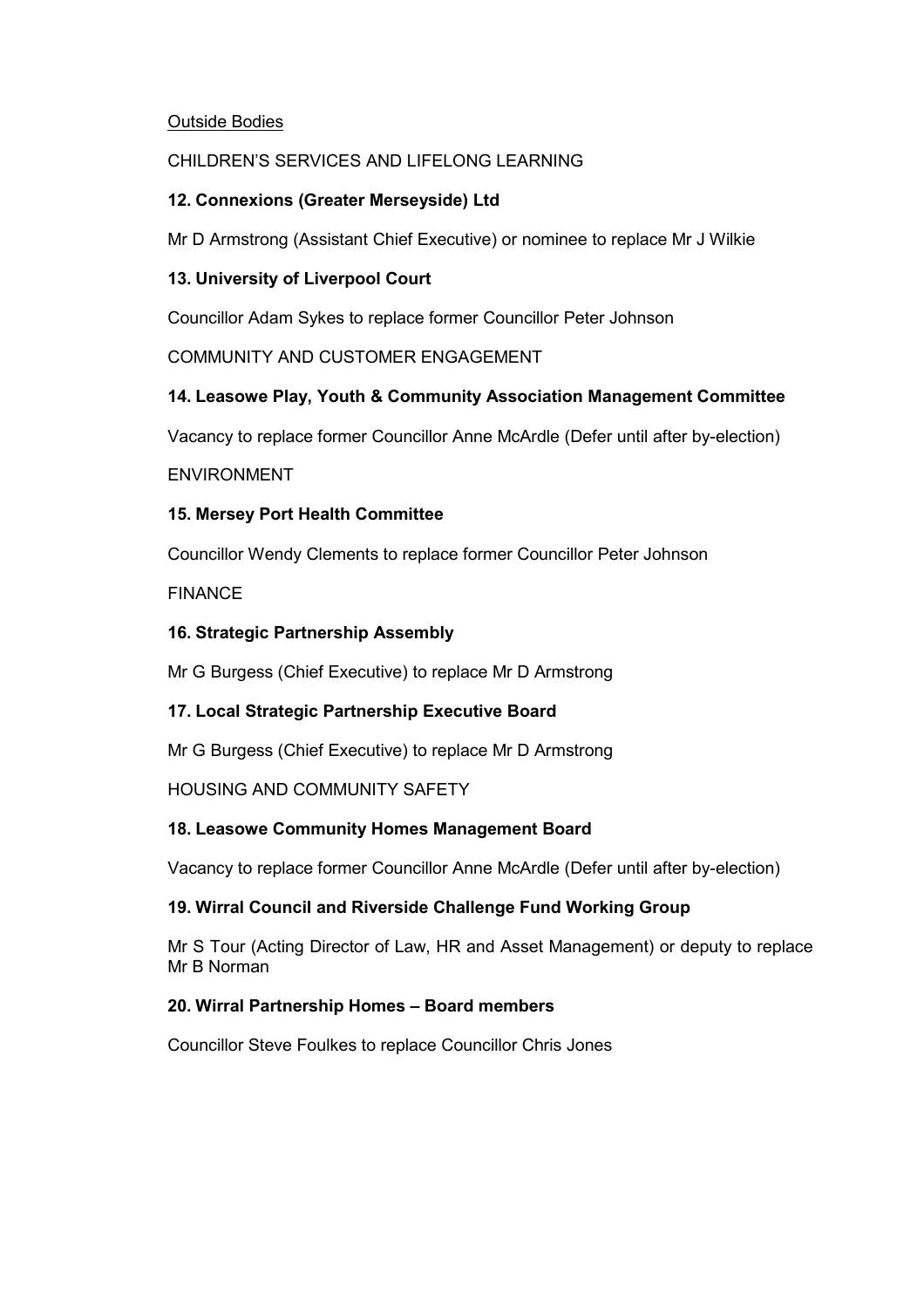## Outside Bodies

## CHILDREN'S SERVICES AND LIFELONG LEARNING

## **12. Connexions (Greater Merseyside) Ltd**

Mr D Armstrong (Assistant Chief Executive) or nominee to replace Mr J Wilkie

## **13. University of Liverpool Court**

Councillor Adam Sykes to replace former Councillor Peter Johnson

COMMUNITY AND CUSTOMER ENGAGEMENT

# **14. Leasowe Play, Youth & Community Association Management Committee**

Vacancy to replace former Councillor Anne McArdle (Defer until after by-election)

## ENVIRONMENT

# **15. Mersey Port Health Committee**

Councillor Wendy Clements to replace former Councillor Peter Johnson

## FINANCE

# **16. Strategic Partnership Assembly**

Mr G Burgess (Chief Executive) to replace Mr D Armstrong

# **17. Local Strategic Partnership Executive Board**

Mr G Burgess (Chief Executive) to replace Mr D Armstrong

## HOUSING AND COMMUNITY SAFETY

# **18. Leasowe Community Homes Management Board**

Vacancy to replace former Councillor Anne McArdle (Defer until after by-election)

## **19. Wirral Council and Riverside Challenge Fund Working Group**

Mr S Tour (Acting Director of Law, HR and Asset Management) or deputy to replace Mr B Norman

## **20. Wirral Partnership Homes – Board members**

Councillor Steve Foulkes to replace Councillor Chris Jones